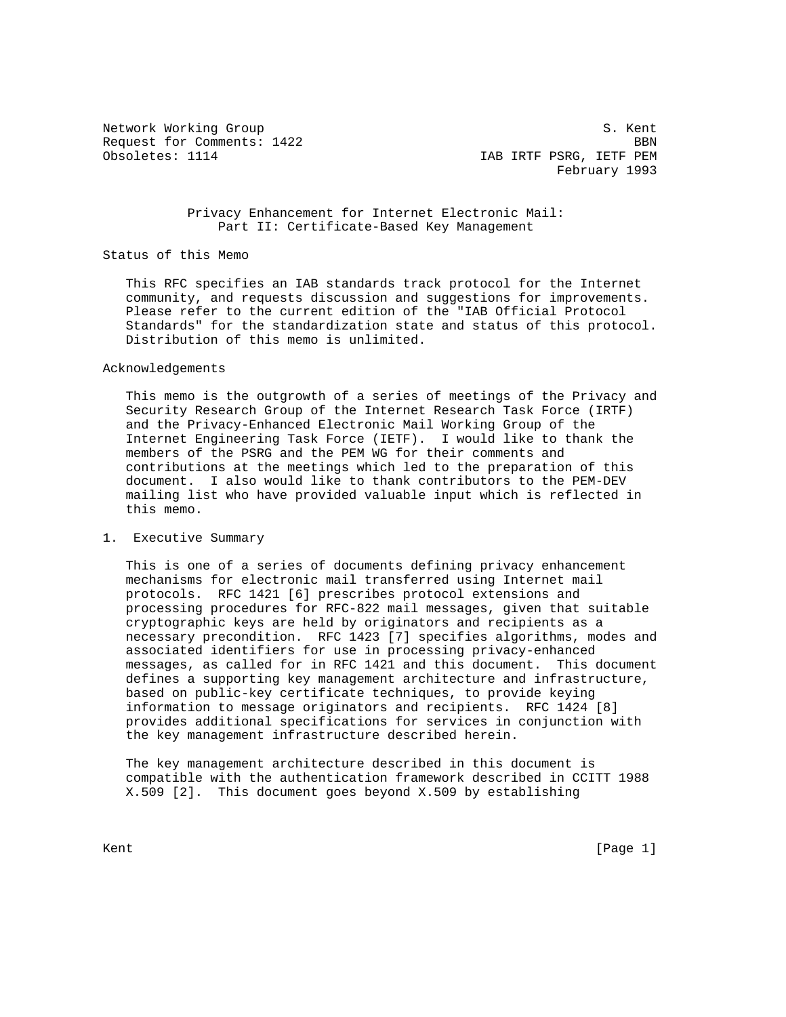Request for Comments: 1422 BBN Obsoletes: 1114 **IAB IRTF PSRG, IETF PEM** 

Network Working Group S. Kent February 1993

> Privacy Enhancement for Internet Electronic Mail: Part II: Certificate-Based Key Management

Status of this Memo

 This RFC specifies an IAB standards track protocol for the Internet community, and requests discussion and suggestions for improvements. Please refer to the current edition of the "IAB Official Protocol Standards" for the standardization state and status of this protocol. Distribution of this memo is unlimited.

#### Acknowledgements

 This memo is the outgrowth of a series of meetings of the Privacy and Security Research Group of the Internet Research Task Force (IRTF) and the Privacy-Enhanced Electronic Mail Working Group of the Internet Engineering Task Force (IETF). I would like to thank the members of the PSRG and the PEM WG for their comments and contributions at the meetings which led to the preparation of this document. I also would like to thank contributors to the PEM-DEV mailing list who have provided valuable input which is reflected in this memo.

1. Executive Summary

 This is one of a series of documents defining privacy enhancement mechanisms for electronic mail transferred using Internet mail protocols. RFC 1421 [6] prescribes protocol extensions and processing procedures for RFC-822 mail messages, given that suitable cryptographic keys are held by originators and recipients as a necessary precondition. RFC 1423 [7] specifies algorithms, modes and associated identifiers for use in processing privacy-enhanced messages, as called for in RFC 1421 and this document. This document defines a supporting key management architecture and infrastructure, based on public-key certificate techniques, to provide keying information to message originators and recipients. RFC 1424 [8] provides additional specifications for services in conjunction with the key management infrastructure described herein.

 The key management architecture described in this document is compatible with the authentication framework described in CCITT 1988 X.509 [2]. This document goes beyond X.509 by establishing

Kent [Page 1]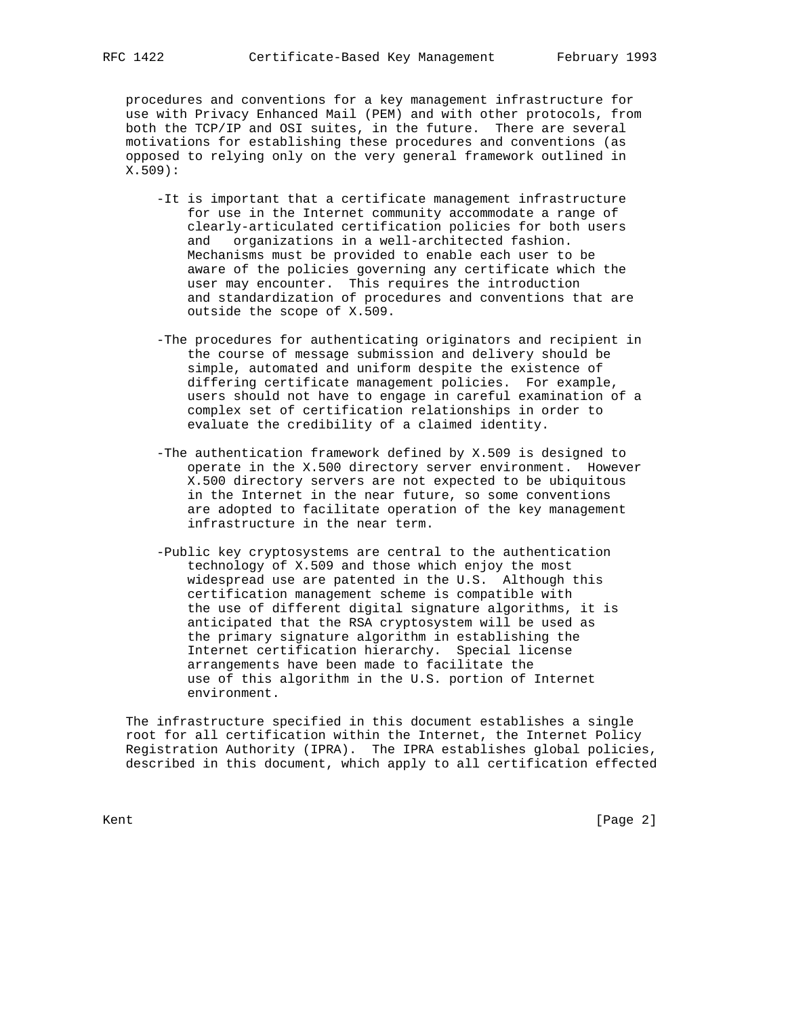procedures and conventions for a key management infrastructure for use with Privacy Enhanced Mail (PEM) and with other protocols, from both the TCP/IP and OSI suites, in the future. There are several motivations for establishing these procedures and conventions (as opposed to relying only on the very general framework outlined in X.509):

- -It is important that a certificate management infrastructure for use in the Internet community accommodate a range of clearly-articulated certification policies for both users and organizations in a well-architected fashion. Mechanisms must be provided to enable each user to be aware of the policies governing any certificate which the user may encounter. This requires the introduction and standardization of procedures and conventions that are outside the scope of X.509.
- -The procedures for authenticating originators and recipient in the course of message submission and delivery should be simple, automated and uniform despite the existence of differing certificate management policies. For example, users should not have to engage in careful examination of a complex set of certification relationships in order to evaluate the credibility of a claimed identity.
- -The authentication framework defined by X.509 is designed to operate in the X.500 directory server environment. However X.500 directory servers are not expected to be ubiquitous in the Internet in the near future, so some conventions are adopted to facilitate operation of the key management infrastructure in the near term.
- -Public key cryptosystems are central to the authentication technology of X.509 and those which enjoy the most widespread use are patented in the U.S. Although this certification management scheme is compatible with the use of different digital signature algorithms, it is anticipated that the RSA cryptosystem will be used as the primary signature algorithm in establishing the Internet certification hierarchy. Special license arrangements have been made to facilitate the use of this algorithm in the U.S. portion of Internet environment.

 The infrastructure specified in this document establishes a single root for all certification within the Internet, the Internet Policy Registration Authority (IPRA). The IPRA establishes global policies, described in this document, which apply to all certification effected

Kent [Page 2]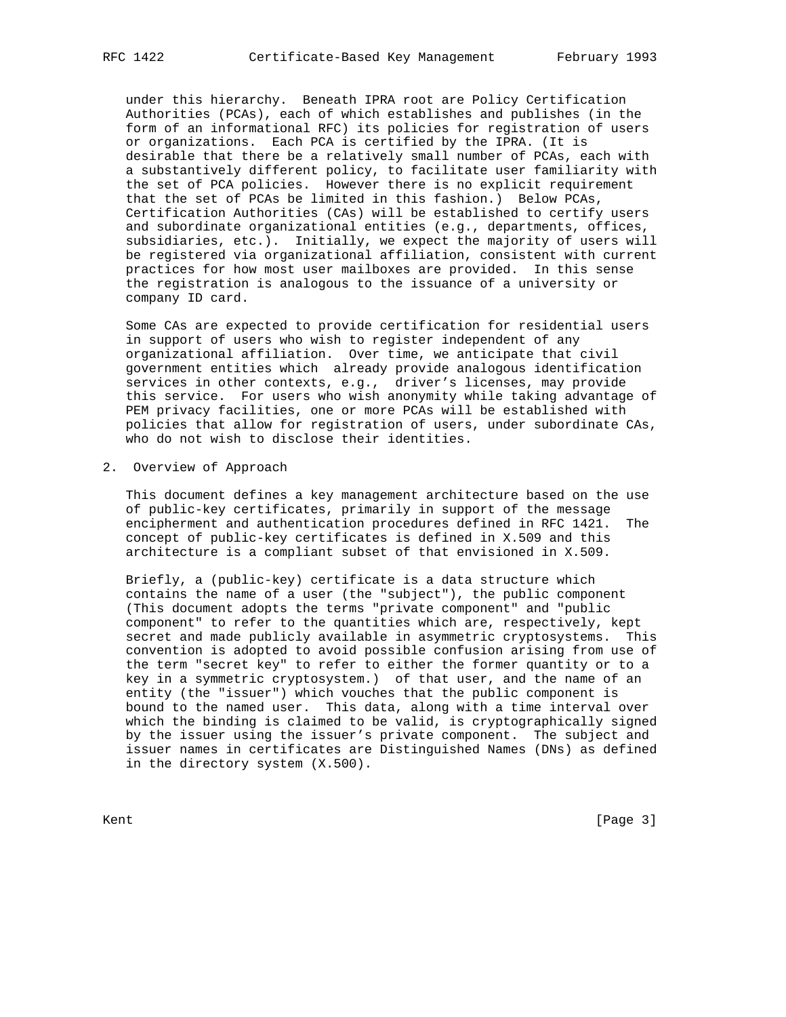under this hierarchy. Beneath IPRA root are Policy Certification Authorities (PCAs), each of which establishes and publishes (in the form of an informational RFC) its policies for registration of users or organizations. Each PCA is certified by the IPRA. (It is desirable that there be a relatively small number of PCAs, each with a substantively different policy, to facilitate user familiarity with the set of PCA policies. However there is no explicit requirement that the set of PCAs be limited in this fashion.) Below PCAs, Certification Authorities (CAs) will be established to certify users and subordinate organizational entities (e.g., departments, offices, subsidiaries, etc.). Initially, we expect the majority of users will be registered via organizational affiliation, consistent with current practices for how most user mailboxes are provided. In this sense the registration is analogous to the issuance of a university or company ID card.

 Some CAs are expected to provide certification for residential users in support of users who wish to register independent of any organizational affiliation. Over time, we anticipate that civil government entities which already provide analogous identification services in other contexts, e.g., driver's licenses, may provide this service. For users who wish anonymity while taking advantage of PEM privacy facilities, one or more PCAs will be established with policies that allow for registration of users, under subordinate CAs, who do not wish to disclose their identities.

#### 2. Overview of Approach

 This document defines a key management architecture based on the use of public-key certificates, primarily in support of the message encipherment and authentication procedures defined in RFC 1421. The concept of public-key certificates is defined in X.509 and this architecture is a compliant subset of that envisioned in X.509.

 Briefly, a (public-key) certificate is a data structure which contains the name of a user (the "subject"), the public component (This document adopts the terms "private component" and "public component" to refer to the quantities which are, respectively, kept secret and made publicly available in asymmetric cryptosystems. This convention is adopted to avoid possible confusion arising from use of the term "secret key" to refer to either the former quantity or to a key in a symmetric cryptosystem.) of that user, and the name of an entity (the "issuer") which vouches that the public component is bound to the named user. This data, along with a time interval over which the binding is claimed to be valid, is cryptographically signed by the issuer using the issuer's private component. The subject and issuer names in certificates are Distinguished Names (DNs) as defined in the directory system (X.500).

Kent [Page 3]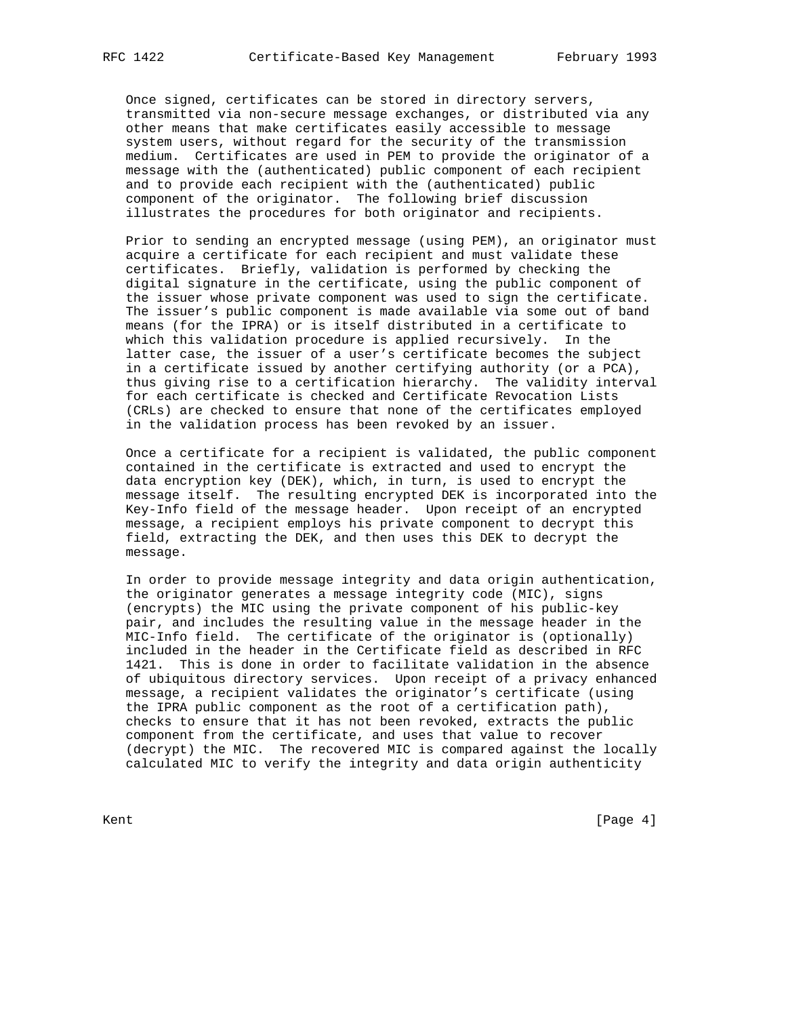Once signed, certificates can be stored in directory servers, transmitted via non-secure message exchanges, or distributed via any other means that make certificates easily accessible to message system users, without regard for the security of the transmission medium. Certificates are used in PEM to provide the originator of a message with the (authenticated) public component of each recipient and to provide each recipient with the (authenticated) public component of the originator. The following brief discussion illustrates the procedures for both originator and recipients.

 Prior to sending an encrypted message (using PEM), an originator must acquire a certificate for each recipient and must validate these certificates. Briefly, validation is performed by checking the digital signature in the certificate, using the public component of the issuer whose private component was used to sign the certificate. The issuer's public component is made available via some out of band means (for the IPRA) or is itself distributed in a certificate to which this validation procedure is applied recursively. In the latter case, the issuer of a user's certificate becomes the subject in a certificate issued by another certifying authority (or a PCA), thus giving rise to a certification hierarchy. The validity interval for each certificate is checked and Certificate Revocation Lists (CRLs) are checked to ensure that none of the certificates employed in the validation process has been revoked by an issuer.

 Once a certificate for a recipient is validated, the public component contained in the certificate is extracted and used to encrypt the data encryption key (DEK), which, in turn, is used to encrypt the message itself. The resulting encrypted DEK is incorporated into the Key-Info field of the message header. Upon receipt of an encrypted message, a recipient employs his private component to decrypt this field, extracting the DEK, and then uses this DEK to decrypt the message.

 In order to provide message integrity and data origin authentication, the originator generates a message integrity code (MIC), signs (encrypts) the MIC using the private component of his public-key pair, and includes the resulting value in the message header in the MIC-Info field. The certificate of the originator is (optionally) included in the header in the Certificate field as described in RFC 1421. This is done in order to facilitate validation in the absence of ubiquitous directory services. Upon receipt of a privacy enhanced message, a recipient validates the originator's certificate (using the IPRA public component as the root of a certification path), checks to ensure that it has not been revoked, extracts the public component from the certificate, and uses that value to recover (decrypt) the MIC. The recovered MIC is compared against the locally calculated MIC to verify the integrity and data origin authenticity

Kent [Page 4]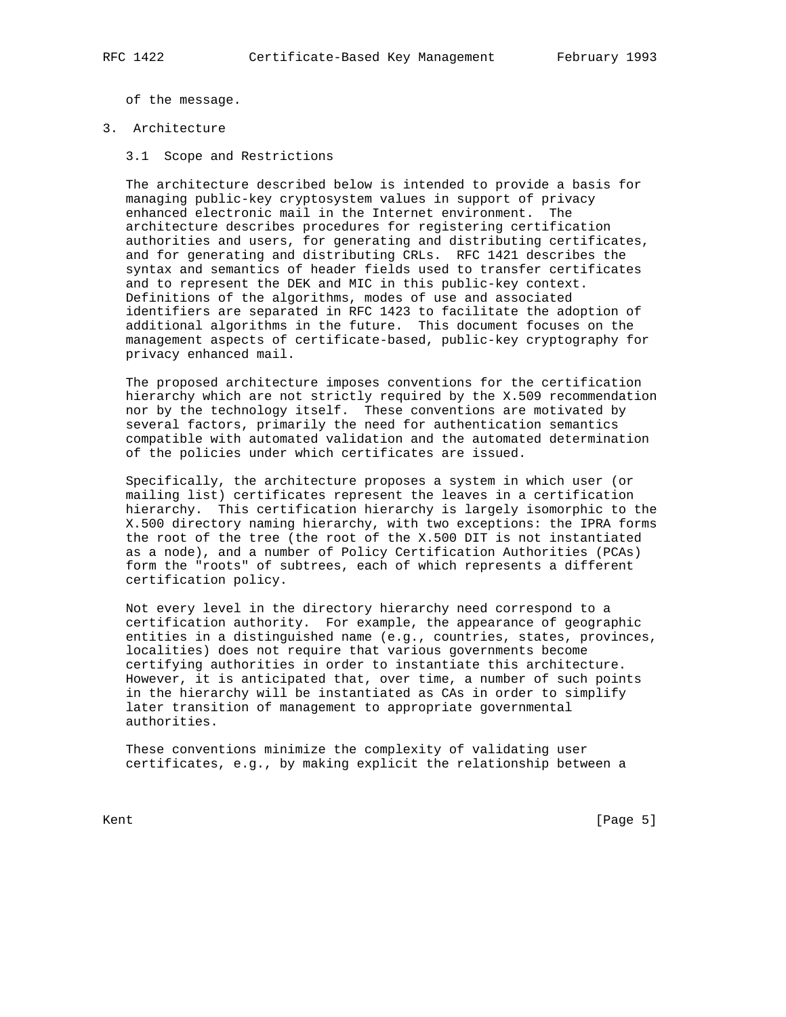of the message.

## 3. Architecture

3.1 Scope and Restrictions

 The architecture described below is intended to provide a basis for managing public-key cryptosystem values in support of privacy enhanced electronic mail in the Internet environment. The architecture describes procedures for registering certification authorities and users, for generating and distributing certificates, and for generating and distributing CRLs. RFC 1421 describes the syntax and semantics of header fields used to transfer certificates and to represent the DEK and MIC in this public-key context. Definitions of the algorithms, modes of use and associated identifiers are separated in RFC 1423 to facilitate the adoption of additional algorithms in the future. This document focuses on the management aspects of certificate-based, public-key cryptography for privacy enhanced mail.

 The proposed architecture imposes conventions for the certification hierarchy which are not strictly required by the X.509 recommendation nor by the technology itself. These conventions are motivated by several factors, primarily the need for authentication semantics compatible with automated validation and the automated determination of the policies under which certificates are issued.

 Specifically, the architecture proposes a system in which user (or mailing list) certificates represent the leaves in a certification hierarchy. This certification hierarchy is largely isomorphic to the X.500 directory naming hierarchy, with two exceptions: the IPRA forms the root of the tree (the root of the X.500 DIT is not instantiated as a node), and a number of Policy Certification Authorities (PCAs) form the "roots" of subtrees, each of which represents a different certification policy.

 Not every level in the directory hierarchy need correspond to a certification authority. For example, the appearance of geographic entities in a distinguished name (e.g., countries, states, provinces, localities) does not require that various governments become certifying authorities in order to instantiate this architecture. However, it is anticipated that, over time, a number of such points in the hierarchy will be instantiated as CAs in order to simplify later transition of management to appropriate governmental authorities.

 These conventions minimize the complexity of validating user certificates, e.g., by making explicit the relationship between a

Kent [Page 5]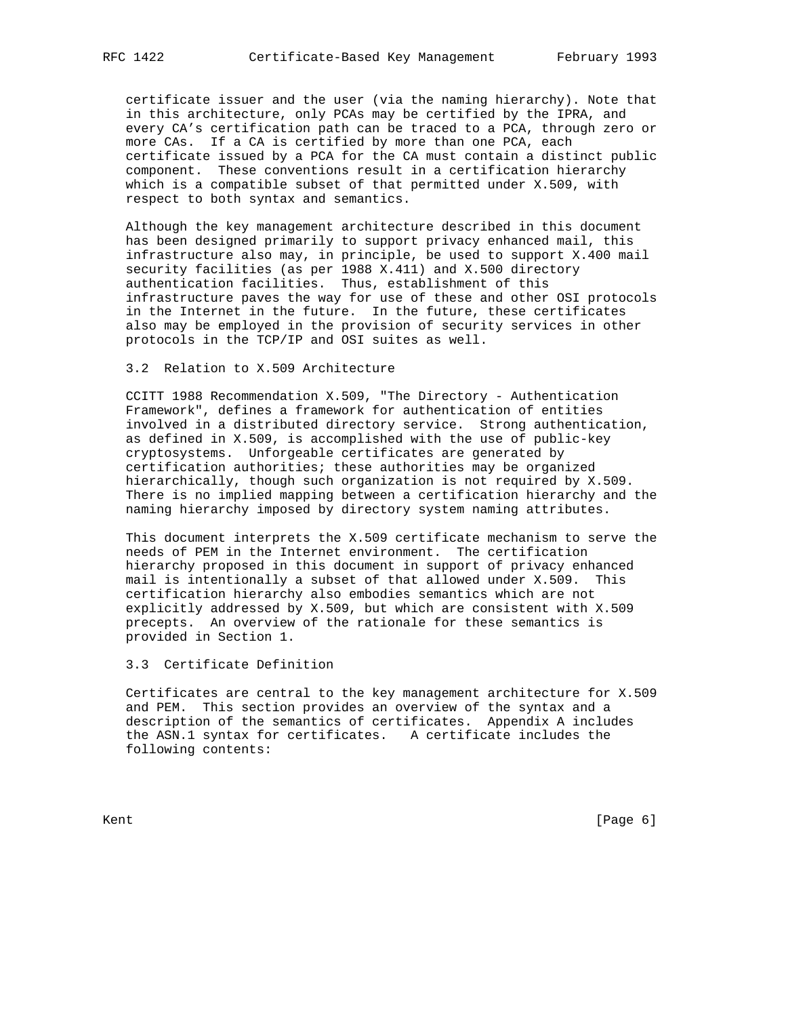certificate issuer and the user (via the naming hierarchy). Note that in this architecture, only PCAs may be certified by the IPRA, and every CA's certification path can be traced to a PCA, through zero or more CAs. If a CA is certified by more than one PCA, each certificate issued by a PCA for the CA must contain a distinct public component. These conventions result in a certification hierarchy which is a compatible subset of that permitted under X.509, with respect to both syntax and semantics.

 Although the key management architecture described in this document has been designed primarily to support privacy enhanced mail, this infrastructure also may, in principle, be used to support X.400 mail security facilities (as per 1988 X.411) and X.500 directory authentication facilities. Thus, establishment of this infrastructure paves the way for use of these and other OSI protocols in the Internet in the future. In the future, these certificates also may be employed in the provision of security services in other protocols in the TCP/IP and OSI suites as well.

# 3.2 Relation to X.509 Architecture

 CCITT 1988 Recommendation X.509, "The Directory - Authentication Framework", defines a framework for authentication of entities involved in a distributed directory service. Strong authentication, as defined in X.509, is accomplished with the use of public-key cryptosystems. Unforgeable certificates are generated by certification authorities; these authorities may be organized hierarchically, though such organization is not required by X.509. There is no implied mapping between a certification hierarchy and the naming hierarchy imposed by directory system naming attributes.

 This document interprets the X.509 certificate mechanism to serve the needs of PEM in the Internet environment. The certification hierarchy proposed in this document in support of privacy enhanced mail is intentionally a subset of that allowed under X.509. This certification hierarchy also embodies semantics which are not explicitly addressed by X.509, but which are consistent with X.509 precepts. An overview of the rationale for these semantics is provided in Section 1.

3.3 Certificate Definition

 Certificates are central to the key management architecture for X.509 and PEM. This section provides an overview of the syntax and a description of the semantics of certificates. Appendix A includes the ASN.1 syntax for certificates. A certificate includes the following contents:

Kent [Page 6]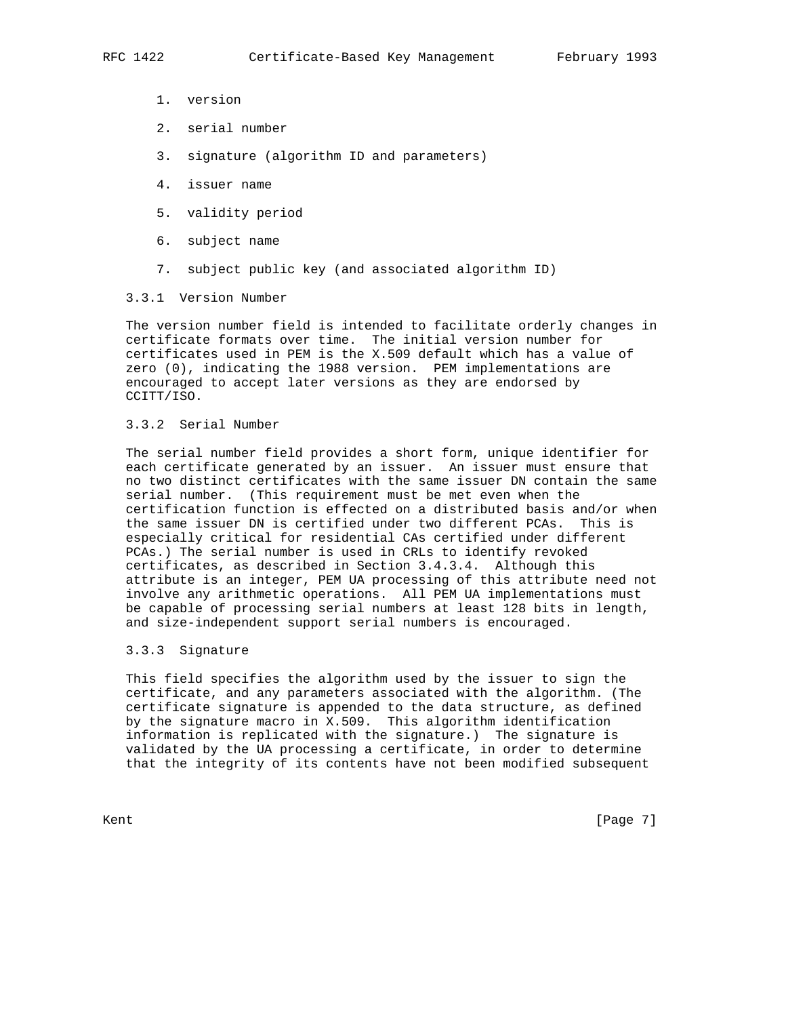- - 1. version
	- 2. serial number
	- 3. signature (algorithm ID and parameters)
	- 4. issuer name
	- 5. validity period
	- 6. subject name
	- 7. subject public key (and associated algorithm ID)
	- 3.3.1 Version Number

 The version number field is intended to facilitate orderly changes in certificate formats over time. The initial version number for certificates used in PEM is the X.509 default which has a value of zero (0), indicating the 1988 version. PEM implementations are encouraged to accept later versions as they are endorsed by CCITT/ISO.

# 3.3.2 Serial Number

 The serial number field provides a short form, unique identifier for each certificate generated by an issuer. An issuer must ensure that no two distinct certificates with the same issuer DN contain the same serial number. (This requirement must be met even when the certification function is effected on a distributed basis and/or when the same issuer DN is certified under two different PCAs. This is especially critical for residential CAs certified under different PCAs.) The serial number is used in CRLs to identify revoked certificates, as described in Section 3.4.3.4. Although this attribute is an integer, PEM UA processing of this attribute need not involve any arithmetic operations. All PEM UA implementations must be capable of processing serial numbers at least 128 bits in length, and size-independent support serial numbers is encouraged.

# 3.3.3 Signature

 This field specifies the algorithm used by the issuer to sign the certificate, and any parameters associated with the algorithm. (The certificate signature is appended to the data structure, as defined by the signature macro in X.509. This algorithm identification information is replicated with the signature.) The signature is validated by the UA processing a certificate, in order to determine that the integrity of its contents have not been modified subsequent

Kent [Page 7]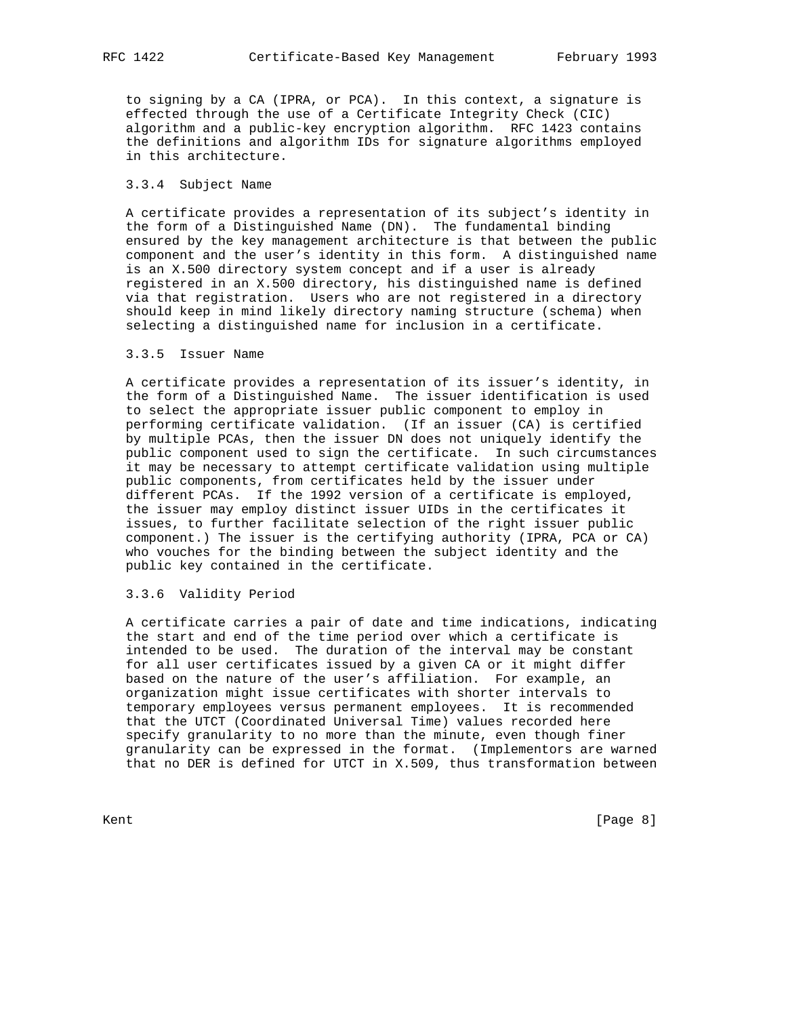to signing by a CA (IPRA, or PCA). In this context, a signature is effected through the use of a Certificate Integrity Check (CIC) algorithm and a public-key encryption algorithm. RFC 1423 contains the definitions and algorithm IDs for signature algorithms employed in this architecture.

# 3.3.4 Subject Name

 A certificate provides a representation of its subject's identity in the form of a Distinguished Name (DN). The fundamental binding ensured by the key management architecture is that between the public component and the user's identity in this form. A distinguished name is an X.500 directory system concept and if a user is already registered in an X.500 directory, his distinguished name is defined via that registration. Users who are not registered in a directory should keep in mind likely directory naming structure (schema) when selecting a distinguished name for inclusion in a certificate.

# 3.3.5 Issuer Name

 A certificate provides a representation of its issuer's identity, in the form of a Distinguished Name. The issuer identification is used to select the appropriate issuer public component to employ in performing certificate validation. (If an issuer (CA) is certified by multiple PCAs, then the issuer DN does not uniquely identify the public component used to sign the certificate. In such circumstances it may be necessary to attempt certificate validation using multiple public components, from certificates held by the issuer under different PCAs. If the 1992 version of a certificate is employed, the issuer may employ distinct issuer UIDs in the certificates it issues, to further facilitate selection of the right issuer public component.) The issuer is the certifying authority (IPRA, PCA or CA) who vouches for the binding between the subject identity and the public key contained in the certificate.

# 3.3.6 Validity Period

 A certificate carries a pair of date and time indications, indicating the start and end of the time period over which a certificate is intended to be used. The duration of the interval may be constant for all user certificates issued by a given CA or it might differ based on the nature of the user's affiliation. For example, an organization might issue certificates with shorter intervals to temporary employees versus permanent employees. It is recommended that the UTCT (Coordinated Universal Time) values recorded here specify granularity to no more than the minute, even though finer granularity can be expressed in the format. (Implementors are warned that no DER is defined for UTCT in X.509, thus transformation between

Kent [Page 8]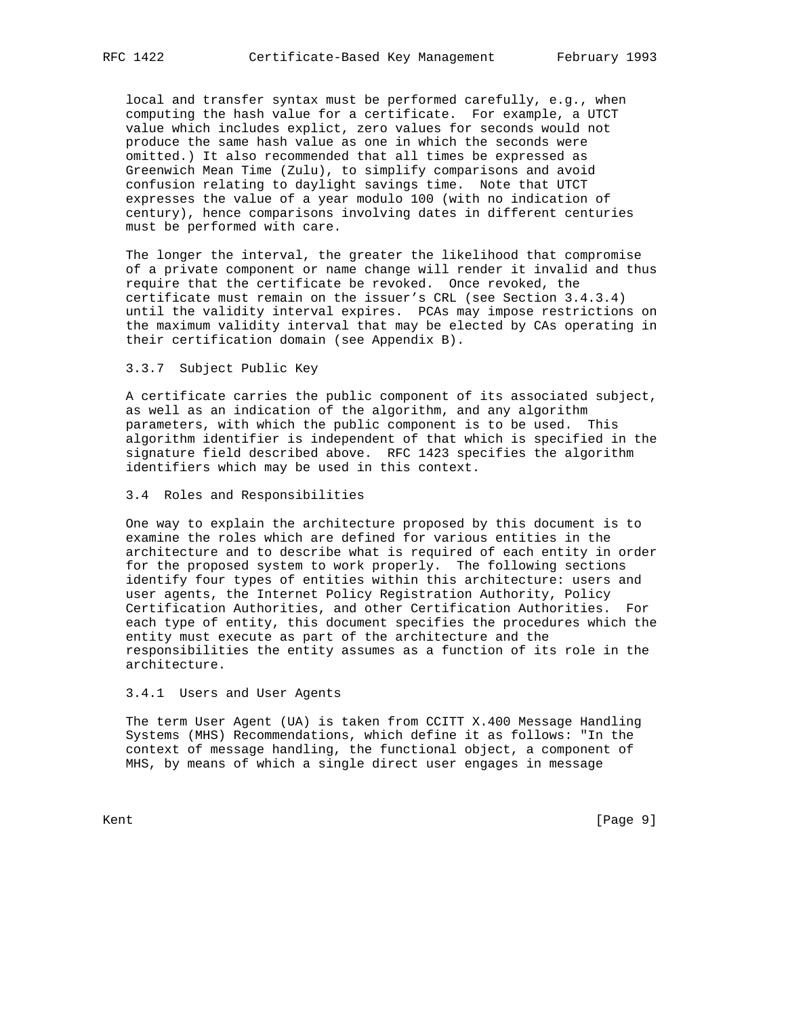local and transfer syntax must be performed carefully, e.g., when computing the hash value for a certificate. For example, a UTCT value which includes explict, zero values for seconds would not produce the same hash value as one in which the seconds were omitted.) It also recommended that all times be expressed as Greenwich Mean Time (Zulu), to simplify comparisons and avoid confusion relating to daylight savings time. Note that UTCT expresses the value of a year modulo 100 (with no indication of century), hence comparisons involving dates in different centuries must be performed with care.

 The longer the interval, the greater the likelihood that compromise of a private component or name change will render it invalid and thus require that the certificate be revoked. Once revoked, the certificate must remain on the issuer's CRL (see Section 3.4.3.4) until the validity interval expires. PCAs may impose restrictions on the maximum validity interval that may be elected by CAs operating in their certification domain (see Appendix B).

#### 3.3.7 Subject Public Key

 A certificate carries the public component of its associated subject, as well as an indication of the algorithm, and any algorithm parameters, with which the public component is to be used. This algorithm identifier is independent of that which is specified in the signature field described above. RFC 1423 specifies the algorithm identifiers which may be used in this context.

# 3.4 Roles and Responsibilities

 One way to explain the architecture proposed by this document is to examine the roles which are defined for various entities in the architecture and to describe what is required of each entity in order for the proposed system to work properly. The following sections identify four types of entities within this architecture: users and user agents, the Internet Policy Registration Authority, Policy Certification Authorities, and other Certification Authorities. For each type of entity, this document specifies the procedures which the entity must execute as part of the architecture and the responsibilities the entity assumes as a function of its role in the architecture.

# 3.4.1 Users and User Agents

 The term User Agent (UA) is taken from CCITT X.400 Message Handling Systems (MHS) Recommendations, which define it as follows: "In the context of message handling, the functional object, a component of MHS, by means of which a single direct user engages in message

Kent [Page 9]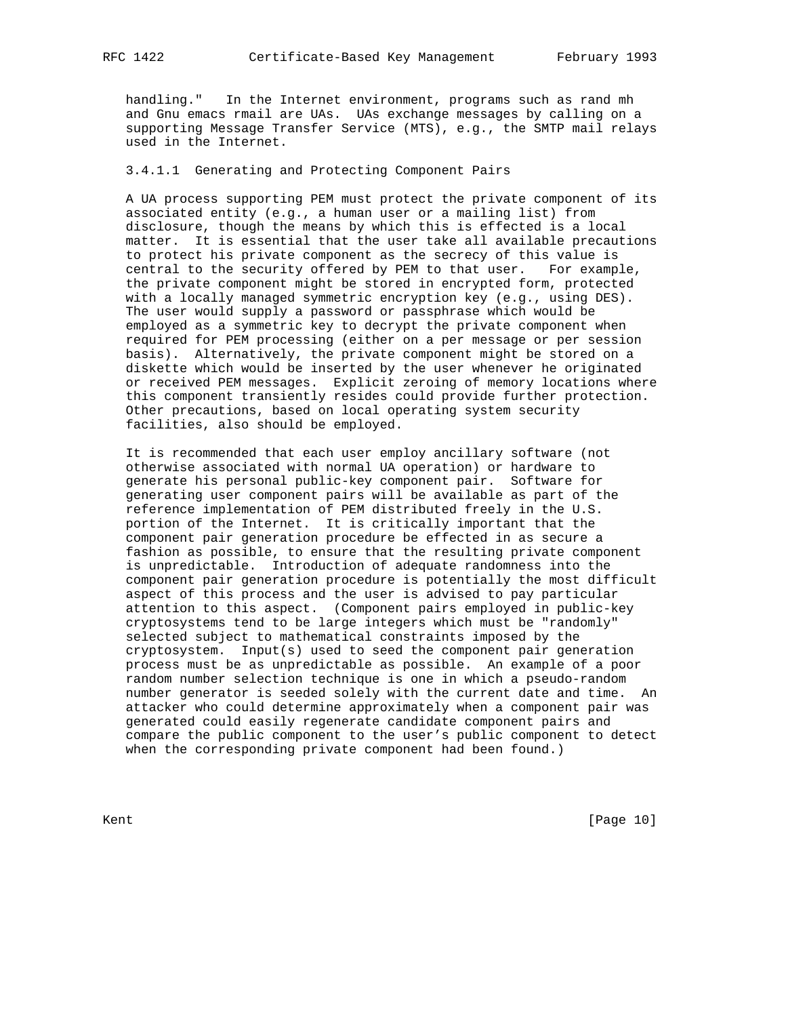handling." In the Internet environment, programs such as rand mh and Gnu emacs rmail are UAs. UAs exchange messages by calling on a supporting Message Transfer Service (MTS), e.g., the SMTP mail relays used in the Internet.

3.4.1.1 Generating and Protecting Component Pairs

 A UA process supporting PEM must protect the private component of its associated entity (e.g., a human user or a mailing list) from disclosure, though the means by which this is effected is a local matter. It is essential that the user take all available precautions to protect his private component as the secrecy of this value is central to the security offered by PEM to that user. For example, the private component might be stored in encrypted form, protected with a locally managed symmetric encryption key (e.g., using DES). The user would supply a password or passphrase which would be employed as a symmetric key to decrypt the private component when required for PEM processing (either on a per message or per session basis). Alternatively, the private component might be stored on a diskette which would be inserted by the user whenever he originated or received PEM messages. Explicit zeroing of memory locations where this component transiently resides could provide further protection. Other precautions, based on local operating system security facilities, also should be employed.

 It is recommended that each user employ ancillary software (not otherwise associated with normal UA operation) or hardware to generate his personal public-key component pair. Software for generating user component pairs will be available as part of the reference implementation of PEM distributed freely in the U.S. portion of the Internet. It is critically important that the component pair generation procedure be effected in as secure a fashion as possible, to ensure that the resulting private component is unpredictable. Introduction of adequate randomness into the component pair generation procedure is potentially the most difficult aspect of this process and the user is advised to pay particular attention to this aspect. (Component pairs employed in public-key cryptosystems tend to be large integers which must be "randomly" selected subject to mathematical constraints imposed by the cryptosystem. Input(s) used to seed the component pair generation process must be as unpredictable as possible. An example of a poor random number selection technique is one in which a pseudo-random number generator is seeded solely with the current date and time. An attacker who could determine approximately when a component pair was generated could easily regenerate candidate component pairs and compare the public component to the user's public component to detect when the corresponding private component had been found.)

Kent [Page 10]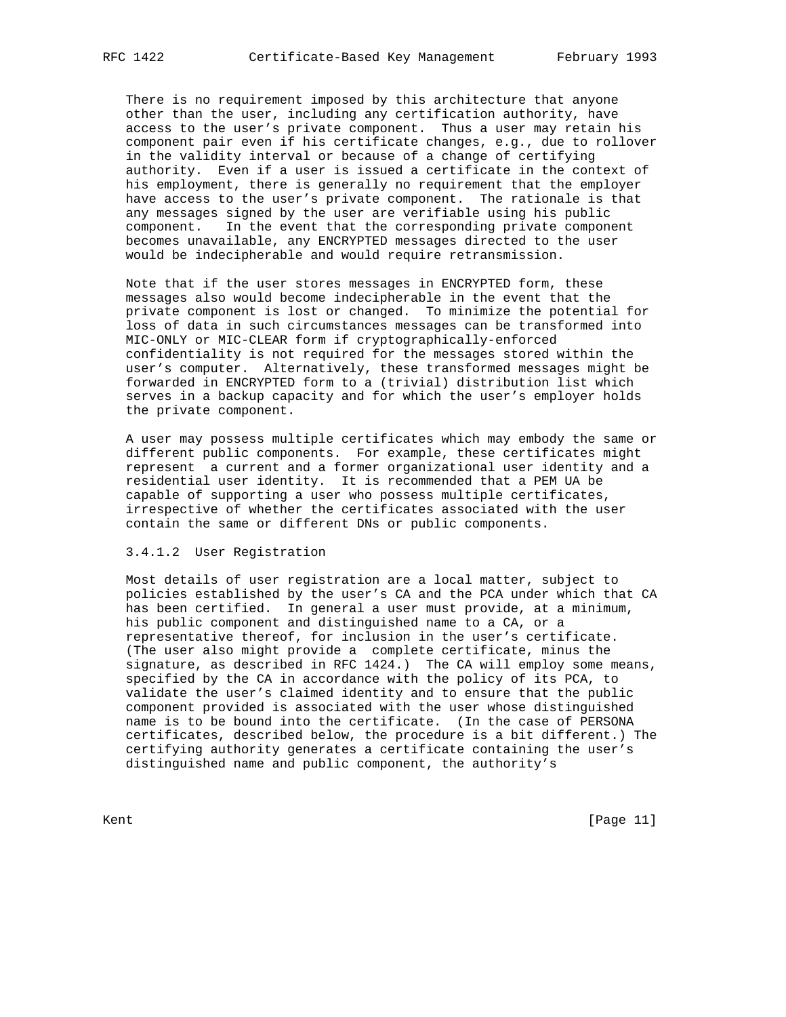There is no requirement imposed by this architecture that anyone other than the user, including any certification authority, have access to the user's private component. Thus a user may retain his component pair even if his certificate changes, e.g., due to rollover in the validity interval or because of a change of certifying authority. Even if a user is issued a certificate in the context of his employment, there is generally no requirement that the employer have access to the user's private component. The rationale is that any messages signed by the user are verifiable using his public component. In the event that the corresponding private component becomes unavailable, any ENCRYPTED messages directed to the user would be indecipherable and would require retransmission.

 Note that if the user stores messages in ENCRYPTED form, these messages also would become indecipherable in the event that the private component is lost or changed. To minimize the potential for loss of data in such circumstances messages can be transformed into MIC-ONLY or MIC-CLEAR form if cryptographically-enforced confidentiality is not required for the messages stored within the user's computer. Alternatively, these transformed messages might be forwarded in ENCRYPTED form to a (trivial) distribution list which serves in a backup capacity and for which the user's employer holds the private component.

 A user may possess multiple certificates which may embody the same or different public components. For example, these certificates might represent a current and a former organizational user identity and a residential user identity. It is recommended that a PEM UA be capable of supporting a user who possess multiple certificates, irrespective of whether the certificates associated with the user contain the same or different DNs or public components.

# 3.4.1.2 User Registration

 Most details of user registration are a local matter, subject to policies established by the user's CA and the PCA under which that CA has been certified. In general a user must provide, at a minimum, his public component and distinguished name to a CA, or a representative thereof, for inclusion in the user's certificate. (The user also might provide a complete certificate, minus the signature, as described in RFC 1424.) The CA will employ some means, specified by the CA in accordance with the policy of its PCA, to validate the user's claimed identity and to ensure that the public component provided is associated with the user whose distinguished name is to be bound into the certificate. (In the case of PERSONA certificates, described below, the procedure is a bit different.) The certifying authority generates a certificate containing the user's distinguished name and public component, the authority's

Kent [Page 11]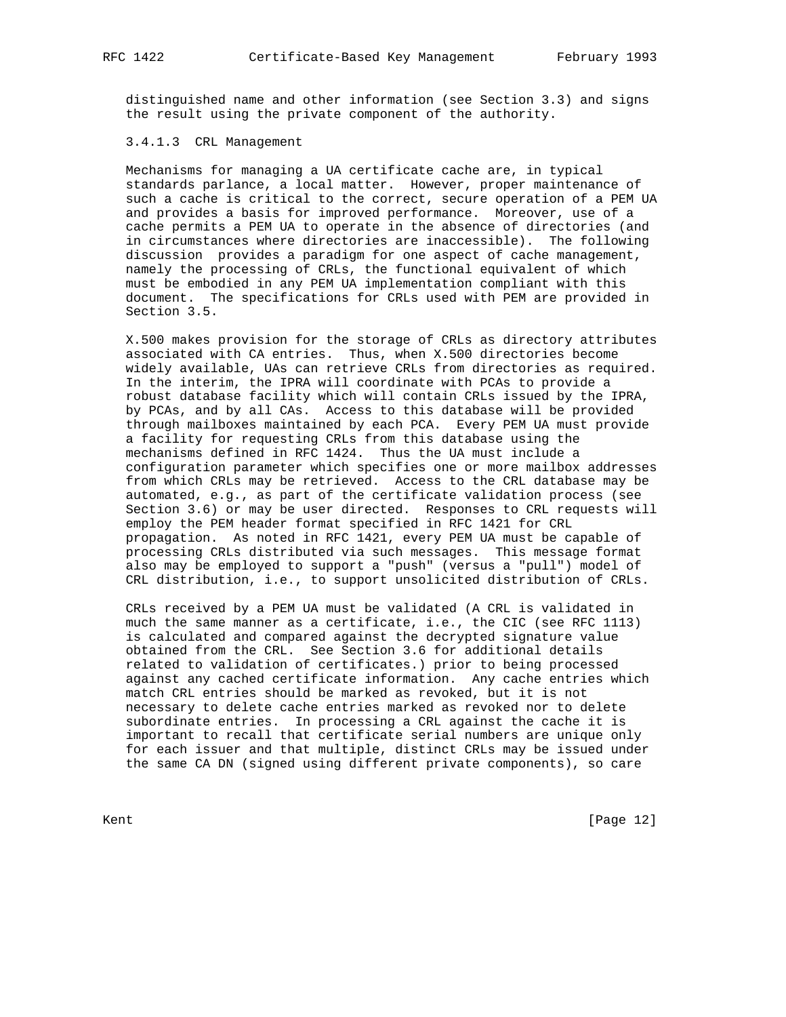distinguished name and other information (see Section 3.3) and signs the result using the private component of the authority.

# 3.4.1.3 CRL Management

 Mechanisms for managing a UA certificate cache are, in typical standards parlance, a local matter. However, proper maintenance of such a cache is critical to the correct, secure operation of a PEM UA and provides a basis for improved performance. Moreover, use of a cache permits a PEM UA to operate in the absence of directories (and in circumstances where directories are inaccessible). The following discussion provides a paradigm for one aspect of cache management, namely the processing of CRLs, the functional equivalent of which must be embodied in any PEM UA implementation compliant with this document. The specifications for CRLs used with PEM are provided in Section 3.5.

 X.500 makes provision for the storage of CRLs as directory attributes associated with CA entries. Thus, when X.500 directories become widely available, UAs can retrieve CRLs from directories as required. In the interim, the IPRA will coordinate with PCAs to provide a robust database facility which will contain CRLs issued by the IPRA, by PCAs, and by all CAs. Access to this database will be provided through mailboxes maintained by each PCA. Every PEM UA must provide a facility for requesting CRLs from this database using the mechanisms defined in RFC 1424. Thus the UA must include a configuration parameter which specifies one or more mailbox addresses from which CRLs may be retrieved. Access to the CRL database may be automated, e.g., as part of the certificate validation process (see Section 3.6) or may be user directed. Responses to CRL requests will employ the PEM header format specified in RFC 1421 for CRL propagation. As noted in RFC 1421, every PEM UA must be capable of processing CRLs distributed via such messages. This message format also may be employed to support a "push" (versus a "pull") model of CRL distribution, i.e., to support unsolicited distribution of CRLs.

 CRLs received by a PEM UA must be validated (A CRL is validated in much the same manner as a certificate, i.e., the CIC (see RFC 1113) is calculated and compared against the decrypted signature value obtained from the CRL. See Section 3.6 for additional details related to validation of certificates.) prior to being processed against any cached certificate information. Any cache entries which match CRL entries should be marked as revoked, but it is not necessary to delete cache entries marked as revoked nor to delete subordinate entries. In processing a CRL against the cache it is important to recall that certificate serial numbers are unique only for each issuer and that multiple, distinct CRLs may be issued under the same CA DN (signed using different private components), so care

Kent [Page 12]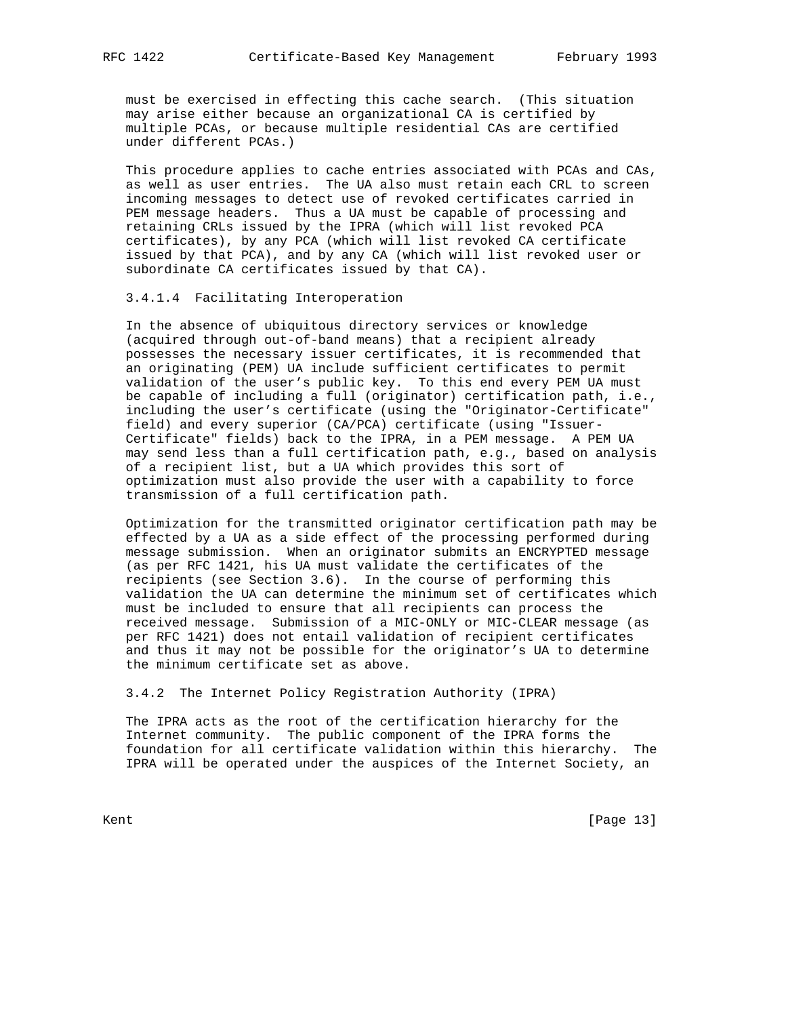must be exercised in effecting this cache search. (This situation may arise either because an organizational CA is certified by multiple PCAs, or because multiple residential CAs are certified under different PCAs.)

 This procedure applies to cache entries associated with PCAs and CAs, as well as user entries. The UA also must retain each CRL to screen incoming messages to detect use of revoked certificates carried in PEM message headers. Thus a UA must be capable of processing and retaining CRLs issued by the IPRA (which will list revoked PCA certificates), by any PCA (which will list revoked CA certificate issued by that PCA), and by any CA (which will list revoked user or subordinate CA certificates issued by that CA).

# 3.4.1.4 Facilitating Interoperation

 In the absence of ubiquitous directory services or knowledge (acquired through out-of-band means) that a recipient already possesses the necessary issuer certificates, it is recommended that an originating (PEM) UA include sufficient certificates to permit validation of the user's public key. To this end every PEM UA must be capable of including a full (originator) certification path, i.e., including the user's certificate (using the "Originator-Certificate" field) and every superior (CA/PCA) certificate (using "Issuer- Certificate" fields) back to the IPRA, in a PEM message. A PEM UA may send less than a full certification path, e.g., based on analysis of a recipient list, but a UA which provides this sort of optimization must also provide the user with a capability to force transmission of a full certification path.

 Optimization for the transmitted originator certification path may be effected by a UA as a side effect of the processing performed during message submission. When an originator submits an ENCRYPTED message (as per RFC 1421, his UA must validate the certificates of the recipients (see Section 3.6). In the course of performing this validation the UA can determine the minimum set of certificates which must be included to ensure that all recipients can process the received message. Submission of a MIC-ONLY or MIC-CLEAR message (as per RFC 1421) does not entail validation of recipient certificates and thus it may not be possible for the originator's UA to determine the minimum certificate set as above.

3.4.2 The Internet Policy Registration Authority (IPRA)

 The IPRA acts as the root of the certification hierarchy for the Internet community. The public component of the IPRA forms the foundation for all certificate validation within this hierarchy. The IPRA will be operated under the auspices of the Internet Society, an

Kent [Page 13]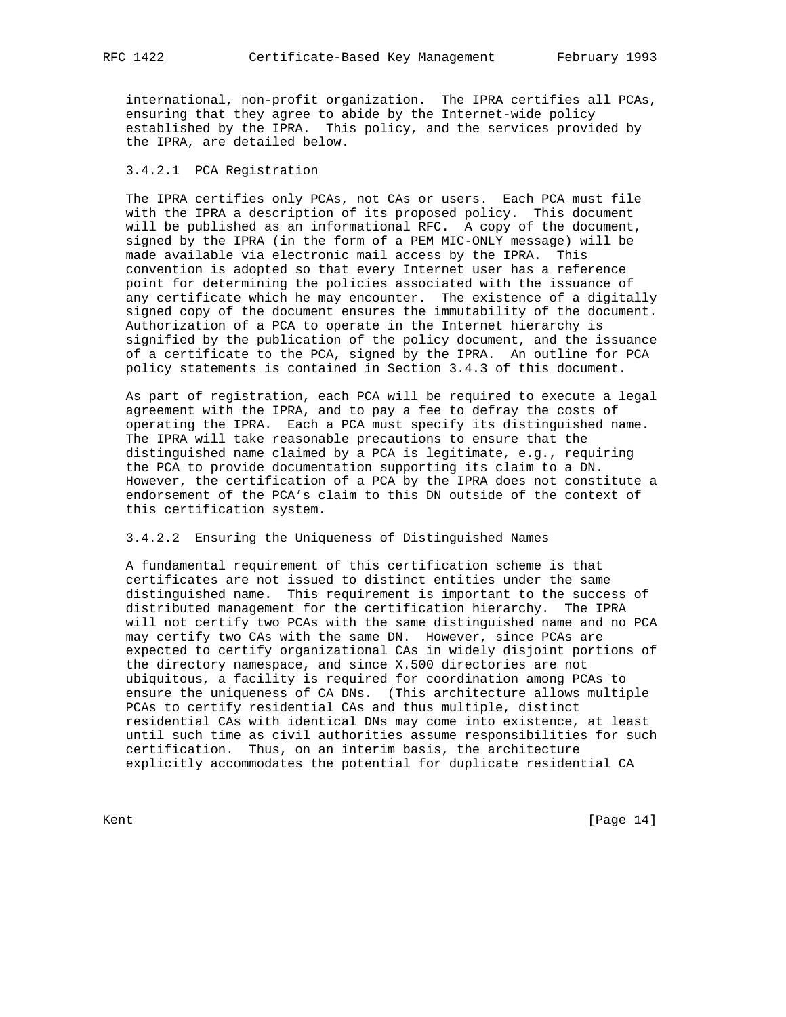international, non-profit organization. The IPRA certifies all PCAs, ensuring that they agree to abide by the Internet-wide policy established by the IPRA. This policy, and the services provided by the IPRA, are detailed below.

# 3.4.2.1 PCA Registration

 The IPRA certifies only PCAs, not CAs or users. Each PCA must file with the IPRA a description of its proposed policy. This document will be published as an informational RFC. A copy of the document, signed by the IPRA (in the form of a PEM MIC-ONLY message) will be made available via electronic mail access by the IPRA. This convention is adopted so that every Internet user has a reference point for determining the policies associated with the issuance of any certificate which he may encounter. The existence of a digitally signed copy of the document ensures the immutability of the document. Authorization of a PCA to operate in the Internet hierarchy is signified by the publication of the policy document, and the issuance of a certificate to the PCA, signed by the IPRA. An outline for PCA policy statements is contained in Section 3.4.3 of this document.

 As part of registration, each PCA will be required to execute a legal agreement with the IPRA, and to pay a fee to defray the costs of operating the IPRA. Each a PCA must specify its distinguished name. The IPRA will take reasonable precautions to ensure that the distinguished name claimed by a PCA is legitimate, e.g., requiring the PCA to provide documentation supporting its claim to a DN. However, the certification of a PCA by the IPRA does not constitute a endorsement of the PCA's claim to this DN outside of the context of this certification system.

# 3.4.2.2 Ensuring the Uniqueness of Distinguished Names

 A fundamental requirement of this certification scheme is that certificates are not issued to distinct entities under the same distinguished name. This requirement is important to the success of distributed management for the certification hierarchy. The IPRA will not certify two PCAs with the same distinguished name and no PCA may certify two CAs with the same DN. However, since PCAs are expected to certify organizational CAs in widely disjoint portions of the directory namespace, and since X.500 directories are not ubiquitous, a facility is required for coordination among PCAs to ensure the uniqueness of CA DNs. (This architecture allows multiple PCAs to certify residential CAs and thus multiple, distinct residential CAs with identical DNs may come into existence, at least until such time as civil authorities assume responsibilities for such certification. Thus, on an interim basis, the architecture explicitly accommodates the potential for duplicate residential CA

Kent [Page 14]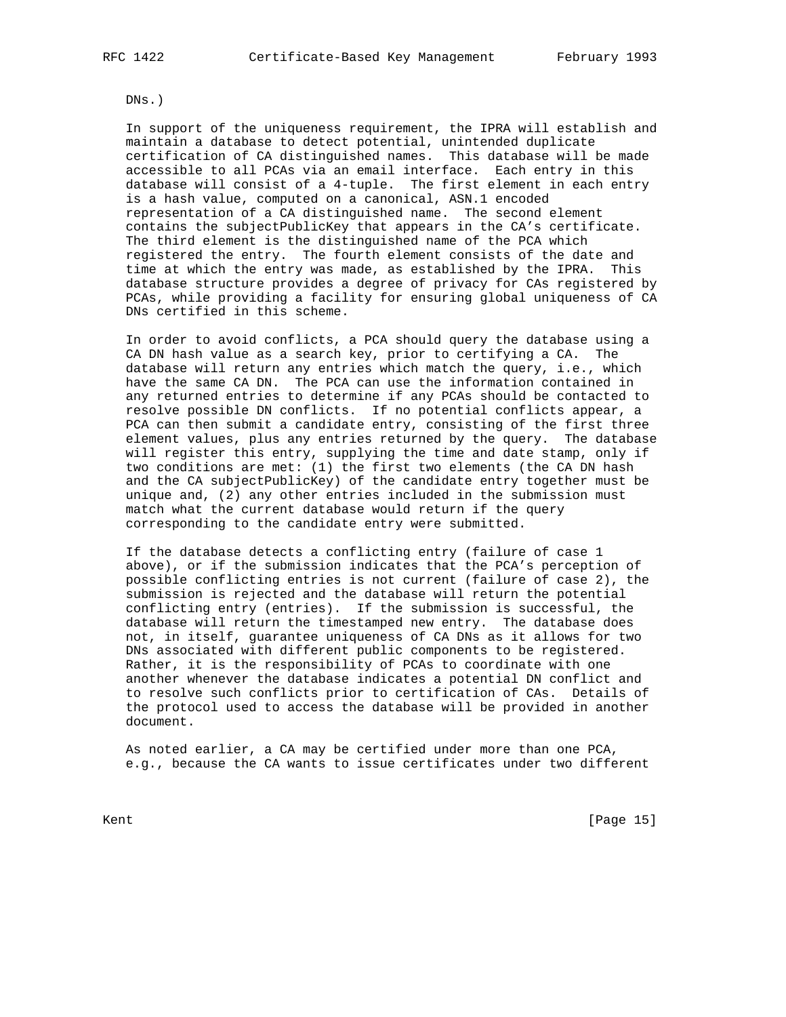DNs.)

 In support of the uniqueness requirement, the IPRA will establish and maintain a database to detect potential, unintended duplicate certification of CA distinguished names. This database will be made accessible to all PCAs via an email interface. Each entry in this database will consist of a 4-tuple. The first element in each entry is a hash value, computed on a canonical, ASN.1 encoded representation of a CA distinguished name. The second element contains the subjectPublicKey that appears in the CA's certificate. The third element is the distinguished name of the PCA which registered the entry. The fourth element consists of the date and time at which the entry was made, as established by the IPRA. This database structure provides a degree of privacy for CAs registered by PCAs, while providing a facility for ensuring global uniqueness of CA DNs certified in this scheme.

 In order to avoid conflicts, a PCA should query the database using a CA DN hash value as a search key, prior to certifying a CA. The database will return any entries which match the query, i.e., which have the same CA DN. The PCA can use the information contained in any returned entries to determine if any PCAs should be contacted to resolve possible DN conflicts. If no potential conflicts appear, a PCA can then submit a candidate entry, consisting of the first three element values, plus any entries returned by the query. The database will register this entry, supplying the time and date stamp, only if two conditions are met: (1) the first two elements (the CA DN hash and the CA subjectPublicKey) of the candidate entry together must be unique and, (2) any other entries included in the submission must match what the current database would return if the query corresponding to the candidate entry were submitted.

 If the database detects a conflicting entry (failure of case 1 above), or if the submission indicates that the PCA's perception of possible conflicting entries is not current (failure of case 2), the submission is rejected and the database will return the potential conflicting entry (entries). If the submission is successful, the database will return the timestamped new entry. The database does not, in itself, guarantee uniqueness of CA DNs as it allows for two DNs associated with different public components to be registered. Rather, it is the responsibility of PCAs to coordinate with one another whenever the database indicates a potential DN conflict and to resolve such conflicts prior to certification of CAs. Details of the protocol used to access the database will be provided in another document.

 As noted earlier, a CA may be certified under more than one PCA, e.g., because the CA wants to issue certificates under two different

Kent [Page 15]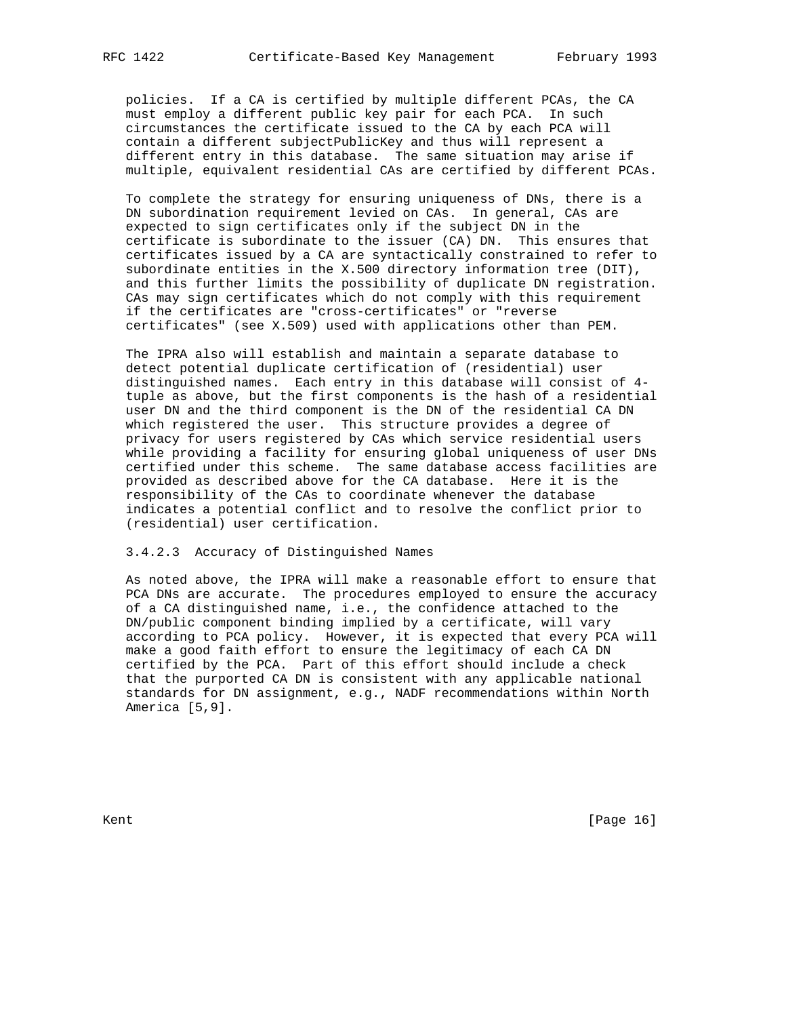policies. If a CA is certified by multiple different PCAs, the CA must employ a different public key pair for each PCA. In such circumstances the certificate issued to the CA by each PCA will contain a different subjectPublicKey and thus will represent a different entry in this database. The same situation may arise if multiple, equivalent residential CAs are certified by different PCAs.

 To complete the strategy for ensuring uniqueness of DNs, there is a DN subordination requirement levied on CAs. In general, CAs are expected to sign certificates only if the subject DN in the certificate is subordinate to the issuer (CA) DN. This ensures that certificates issued by a CA are syntactically constrained to refer to subordinate entities in the X.500 directory information tree (DIT), and this further limits the possibility of duplicate DN registration. CAs may sign certificates which do not comply with this requirement if the certificates are "cross-certificates" or "reverse certificates" (see X.509) used with applications other than PEM.

 The IPRA also will establish and maintain a separate database to detect potential duplicate certification of (residential) user distinguished names. Each entry in this database will consist of 4 tuple as above, but the first components is the hash of a residential user DN and the third component is the DN of the residential CA DN which registered the user. This structure provides a degree of privacy for users registered by CAs which service residential users while providing a facility for ensuring global uniqueness of user DNs certified under this scheme. The same database access facilities are provided as described above for the CA database. Here it is the responsibility of the CAs to coordinate whenever the database indicates a potential conflict and to resolve the conflict prior to (residential) user certification.

# 3.4.2.3 Accuracy of Distinguished Names

 As noted above, the IPRA will make a reasonable effort to ensure that PCA DNs are accurate. The procedures employed to ensure the accuracy of a CA distinguished name, i.e., the confidence attached to the DN/public component binding implied by a certificate, will vary according to PCA policy. However, it is expected that every PCA will make a good faith effort to ensure the legitimacy of each CA DN certified by the PCA. Part of this effort should include a check that the purported CA DN is consistent with any applicable national standards for DN assignment, e.g., NADF recommendations within North America [5,9].

Kent [Page 16]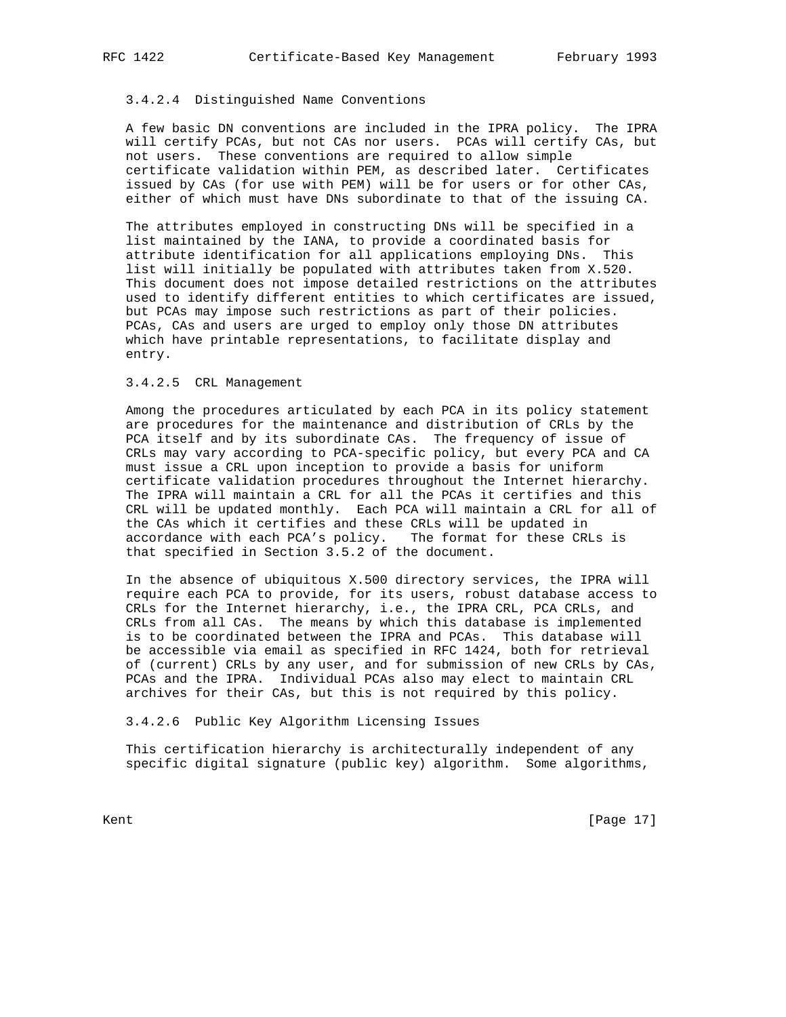# 3.4.2.4 Distinguished Name Conventions

 A few basic DN conventions are included in the IPRA policy. The IPRA will certify PCAs, but not CAs nor users. PCAs will certify CAs, but not users. These conventions are required to allow simple certificate validation within PEM, as described later. Certificates issued by CAs (for use with PEM) will be for users or for other CAs, either of which must have DNs subordinate to that of the issuing CA.

 The attributes employed in constructing DNs will be specified in a list maintained by the IANA, to provide a coordinated basis for attribute identification for all applications employing DNs. This list will initially be populated with attributes taken from X.520. This document does not impose detailed restrictions on the attributes used to identify different entities to which certificates are issued, but PCAs may impose such restrictions as part of their policies. PCAs, CAs and users are urged to employ only those DN attributes which have printable representations, to facilitate display and entry.

#### 3.4.2.5 CRL Management

 Among the procedures articulated by each PCA in its policy statement are procedures for the maintenance and distribution of CRLs by the PCA itself and by its subordinate CAs. The frequency of issue of CRLs may vary according to PCA-specific policy, but every PCA and CA must issue a CRL upon inception to provide a basis for uniform certificate validation procedures throughout the Internet hierarchy. The IPRA will maintain a CRL for all the PCAs it certifies and this CRL will be updated monthly. Each PCA will maintain a CRL for all of the CAs which it certifies and these CRLs will be updated in accordance with each PCA's policy. The format for these CRLs is that specified in Section 3.5.2 of the document.

 In the absence of ubiquitous X.500 directory services, the IPRA will require each PCA to provide, for its users, robust database access to CRLs for the Internet hierarchy, i.e., the IPRA CRL, PCA CRLs, and CRLs from all CAs. The means by which this database is implemented is to be coordinated between the IPRA and PCAs. This database will be accessible via email as specified in RFC 1424, both for retrieval of (current) CRLs by any user, and for submission of new CRLs by CAs, PCAs and the IPRA. Individual PCAs also may elect to maintain CRL archives for their CAs, but this is not required by this policy.

3.4.2.6 Public Key Algorithm Licensing Issues

 This certification hierarchy is architecturally independent of any specific digital signature (public key) algorithm. Some algorithms,

Kent [Page 17]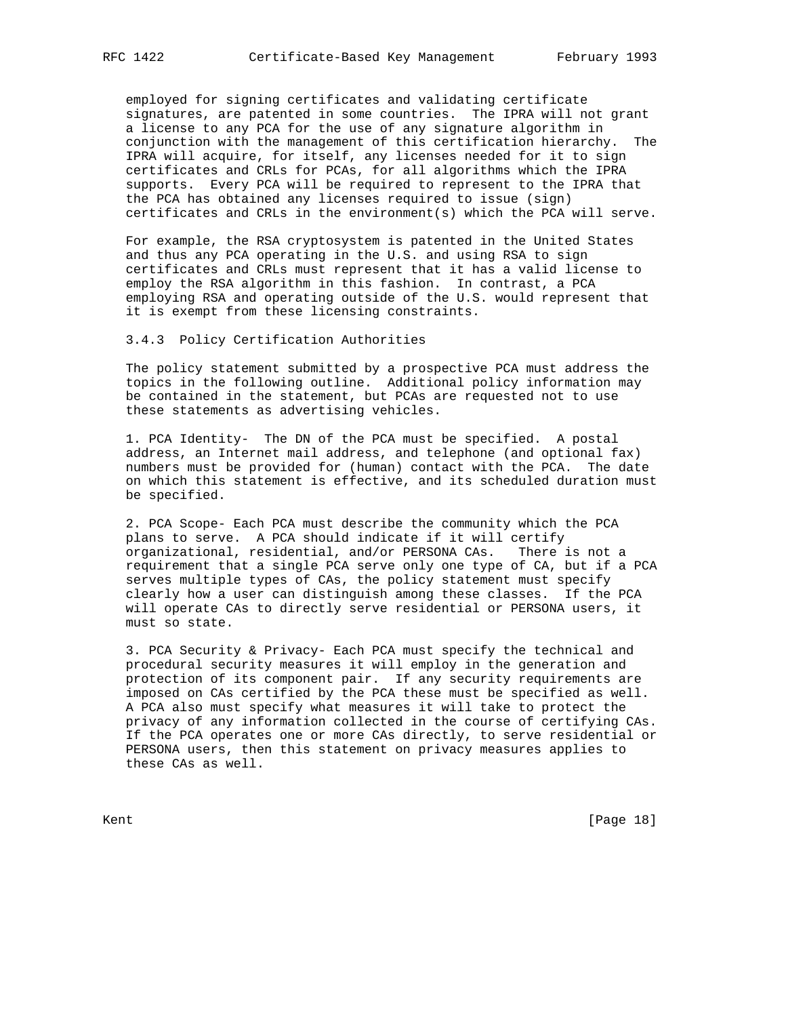employed for signing certificates and validating certificate signatures, are patented in some countries. The IPRA will not grant a license to any PCA for the use of any signature algorithm in conjunction with the management of this certification hierarchy. The IPRA will acquire, for itself, any licenses needed for it to sign certificates and CRLs for PCAs, for all algorithms which the IPRA supports. Every PCA will be required to represent to the IPRA that the PCA has obtained any licenses required to issue (sign) certificates and CRLs in the environment(s) which the PCA will serve.

 For example, the RSA cryptosystem is patented in the United States and thus any PCA operating in the U.S. and using RSA to sign certificates and CRLs must represent that it has a valid license to employ the RSA algorithm in this fashion. In contrast, a PCA employing RSA and operating outside of the U.S. would represent that it is exempt from these licensing constraints.

3.4.3 Policy Certification Authorities

 The policy statement submitted by a prospective PCA must address the topics in the following outline. Additional policy information may be contained in the statement, but PCAs are requested not to use these statements as advertising vehicles.

 1. PCA Identity- The DN of the PCA must be specified. A postal address, an Internet mail address, and telephone (and optional fax) numbers must be provided for (human) contact with the PCA. The date on which this statement is effective, and its scheduled duration must be specified.

 2. PCA Scope- Each PCA must describe the community which the PCA plans to serve. A PCA should indicate if it will certify organizational, residential, and/or PERSONA CAs. There is not a requirement that a single PCA serve only one type of CA, but if a PCA serves multiple types of CAs, the policy statement must specify clearly how a user can distinguish among these classes. If the PCA will operate CAs to directly serve residential or PERSONA users, it must so state.

 3. PCA Security & Privacy- Each PCA must specify the technical and procedural security measures it will employ in the generation and protection of its component pair. If any security requirements are imposed on CAs certified by the PCA these must be specified as well. A PCA also must specify what measures it will take to protect the privacy of any information collected in the course of certifying CAs. If the PCA operates one or more CAs directly, to serve residential or PERSONA users, then this statement on privacy measures applies to these CAs as well.

Kent [Page 18]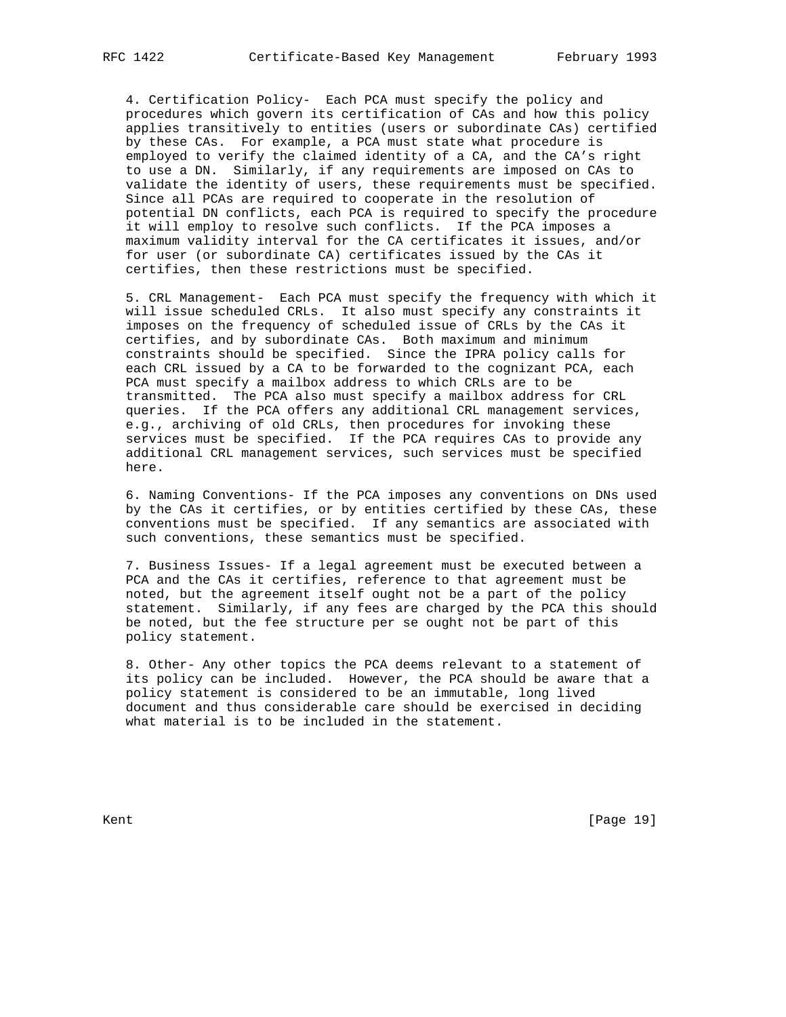4. Certification Policy- Each PCA must specify the policy and procedures which govern its certification of CAs and how this policy applies transitively to entities (users or subordinate CAs) certified by these CAs. For example, a PCA must state what procedure is employed to verify the claimed identity of a CA, and the CA's right to use a DN. Similarly, if any requirements are imposed on CAs to validate the identity of users, these requirements must be specified. Since all PCAs are required to cooperate in the resolution of potential DN conflicts, each PCA is required to specify the procedure it will employ to resolve such conflicts. If the PCA imposes a maximum validity interval for the CA certificates it issues, and/or for user (or subordinate CA) certificates issued by the CAs it certifies, then these restrictions must be specified.

 5. CRL Management- Each PCA must specify the frequency with which it will issue scheduled CRLs. It also must specify any constraints it imposes on the frequency of scheduled issue of CRLs by the CAs it certifies, and by subordinate CAs. Both maximum and minimum constraints should be specified. Since the IPRA policy calls for each CRL issued by a CA to be forwarded to the cognizant PCA, each PCA must specify a mailbox address to which CRLs are to be transmitted. The PCA also must specify a mailbox address for CRL queries. If the PCA offers any additional CRL management services, e.g., archiving of old CRLs, then procedures for invoking these services must be specified. If the PCA requires CAs to provide any additional CRL management services, such services must be specified here.

 6. Naming Conventions- If the PCA imposes any conventions on DNs used by the CAs it certifies, or by entities certified by these CAs, these conventions must be specified. If any semantics are associated with such conventions, these semantics must be specified.

 7. Business Issues- If a legal agreement must be executed between a PCA and the CAs it certifies, reference to that agreement must be noted, but the agreement itself ought not be a part of the policy statement. Similarly, if any fees are charged by the PCA this should be noted, but the fee structure per se ought not be part of this policy statement.

 8. Other- Any other topics the PCA deems relevant to a statement of its policy can be included. However, the PCA should be aware that a policy statement is considered to be an immutable, long lived document and thus considerable care should be exercised in deciding what material is to be included in the statement.

Kent [Page 19]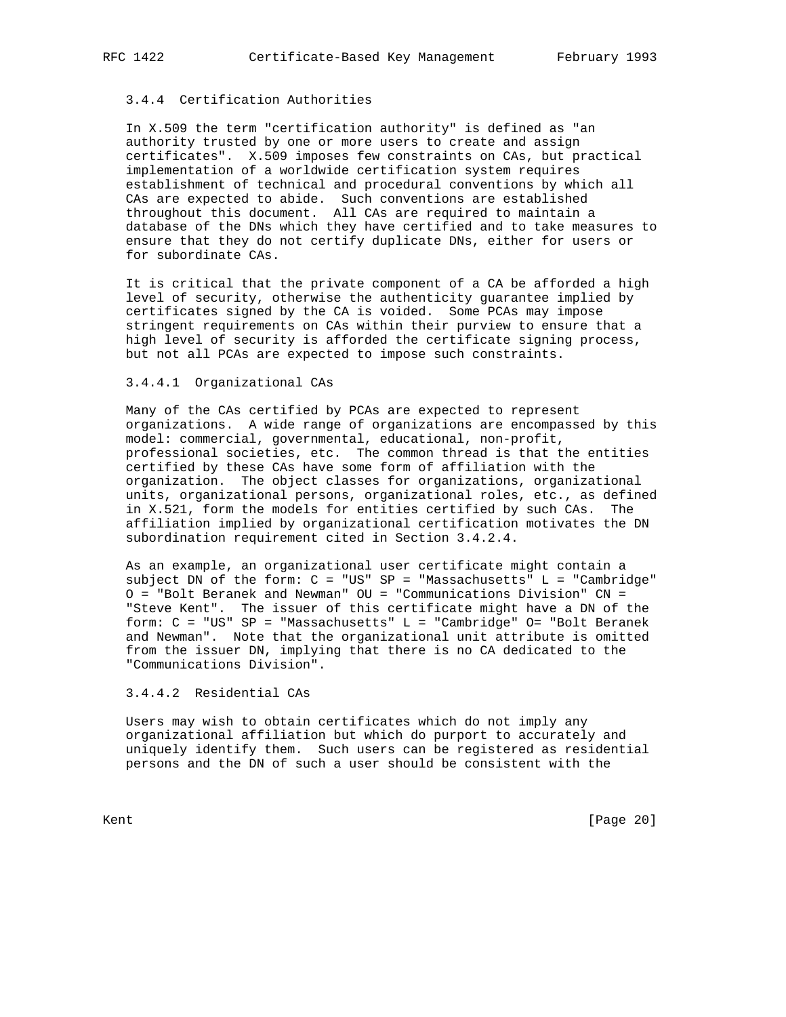# 3.4.4 Certification Authorities

 In X.509 the term "certification authority" is defined as "an authority trusted by one or more users to create and assign certificates". X.509 imposes few constraints on CAs, but practical implementation of a worldwide certification system requires establishment of technical and procedural conventions by which all CAs are expected to abide. Such conventions are established throughout this document. All CAs are required to maintain a database of the DNs which they have certified and to take measures to ensure that they do not certify duplicate DNs, either for users or for subordinate CAs.

 It is critical that the private component of a CA be afforded a high level of security, otherwise the authenticity guarantee implied by certificates signed by the CA is voided. Some PCAs may impose stringent requirements on CAs within their purview to ensure that a high level of security is afforded the certificate signing process, but not all PCAs are expected to impose such constraints.

# 3.4.4.1 Organizational CAs

 Many of the CAs certified by PCAs are expected to represent organizations. A wide range of organizations are encompassed by this model: commercial, governmental, educational, non-profit, professional societies, etc. The common thread is that the entities certified by these CAs have some form of affiliation with the organization. The object classes for organizations, organizational units, organizational persons, organizational roles, etc., as defined in X.521, form the models for entities certified by such CAs. The affiliation implied by organizational certification motivates the DN subordination requirement cited in Section 3.4.2.4.

 As an example, an organizational user certificate might contain a subject DN of the form: C = "US" SP = "Massachusetts" L = "Cambridge" O = "Bolt Beranek and Newman" OU = "Communications Division" CN = "Steve Kent". The issuer of this certificate might have a DN of the form: C = "US" SP = "Massachusetts" L = "Cambridge" O= "Bolt Beranek and Newman". Note that the organizational unit attribute is omitted from the issuer DN, implying that there is no CA dedicated to the "Communications Division".

3.4.4.2 Residential CAs

 Users may wish to obtain certificates which do not imply any organizational affiliation but which do purport to accurately and uniquely identify them. Such users can be registered as residential persons and the DN of such a user should be consistent with the

Kent [Page 20]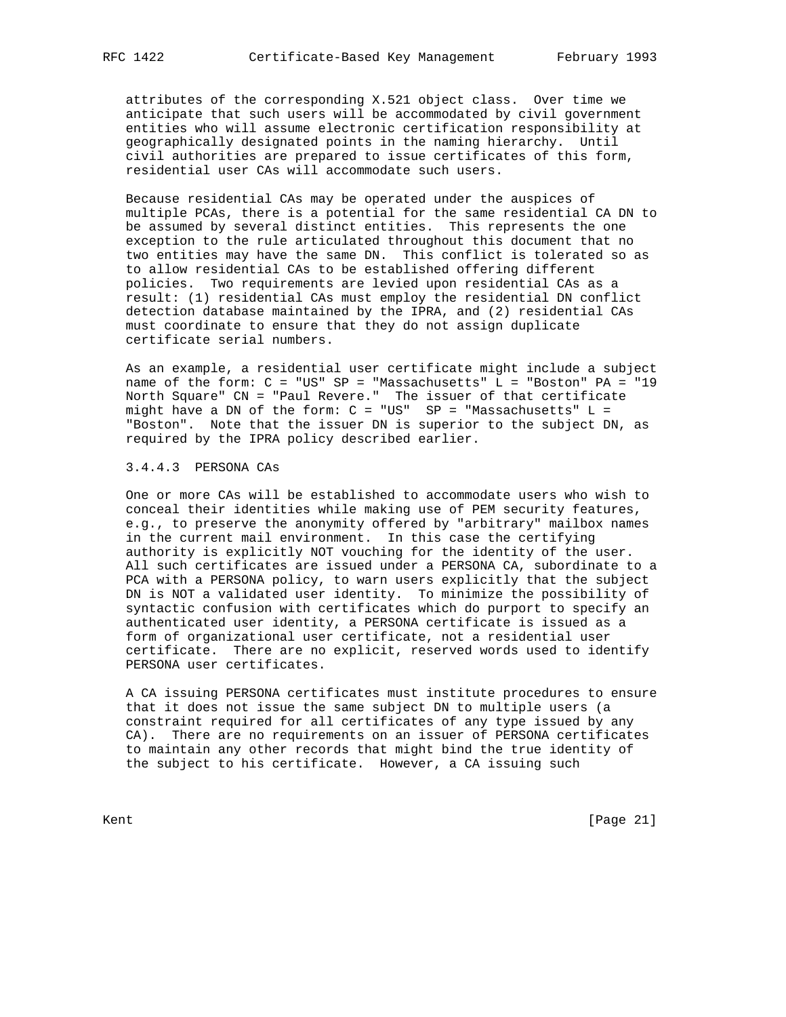attributes of the corresponding X.521 object class. Over time we anticipate that such users will be accommodated by civil government entities who will assume electronic certification responsibility at geographically designated points in the naming hierarchy. Until civil authorities are prepared to issue certificates of this form, residential user CAs will accommodate such users.

 Because residential CAs may be operated under the auspices of multiple PCAs, there is a potential for the same residential CA DN to be assumed by several distinct entities. This represents the one exception to the rule articulated throughout this document that no two entities may have the same DN. This conflict is tolerated so as to allow residential CAs to be established offering different policies. Two requirements are levied upon residential CAs as a result: (1) residential CAs must employ the residential DN conflict detection database maintained by the IPRA, and (2) residential CAs must coordinate to ensure that they do not assign duplicate certificate serial numbers.

 As an example, a residential user certificate might include a subject name of the form: C = "US" SP = "Massachusetts" L = "Boston" PA = "19 North Square" CN = "Paul Revere." The issuer of that certificate might have a DN of the form:  $C = "US"$  SP = "Massachusetts"  $L =$  "Boston". Note that the issuer DN is superior to the subject DN, as required by the IPRA policy described earlier.

# 3.4.4.3 PERSONA CAs

 One or more CAs will be established to accommodate users who wish to conceal their identities while making use of PEM security features, e.g., to preserve the anonymity offered by "arbitrary" mailbox names in the current mail environment. In this case the certifying authority is explicitly NOT vouching for the identity of the user. All such certificates are issued under a PERSONA CA, subordinate to a PCA with a PERSONA policy, to warn users explicitly that the subject DN is NOT a validated user identity. To minimize the possibility of syntactic confusion with certificates which do purport to specify an authenticated user identity, a PERSONA certificate is issued as a form of organizational user certificate, not a residential user certificate. There are no explicit, reserved words used to identify PERSONA user certificates.

 A CA issuing PERSONA certificates must institute procedures to ensure that it does not issue the same subject DN to multiple users (a constraint required for all certificates of any type issued by any CA). There are no requirements on an issuer of PERSONA certificates to maintain any other records that might bind the true identity of the subject to his certificate. However, a CA issuing such

Kent [Page 21]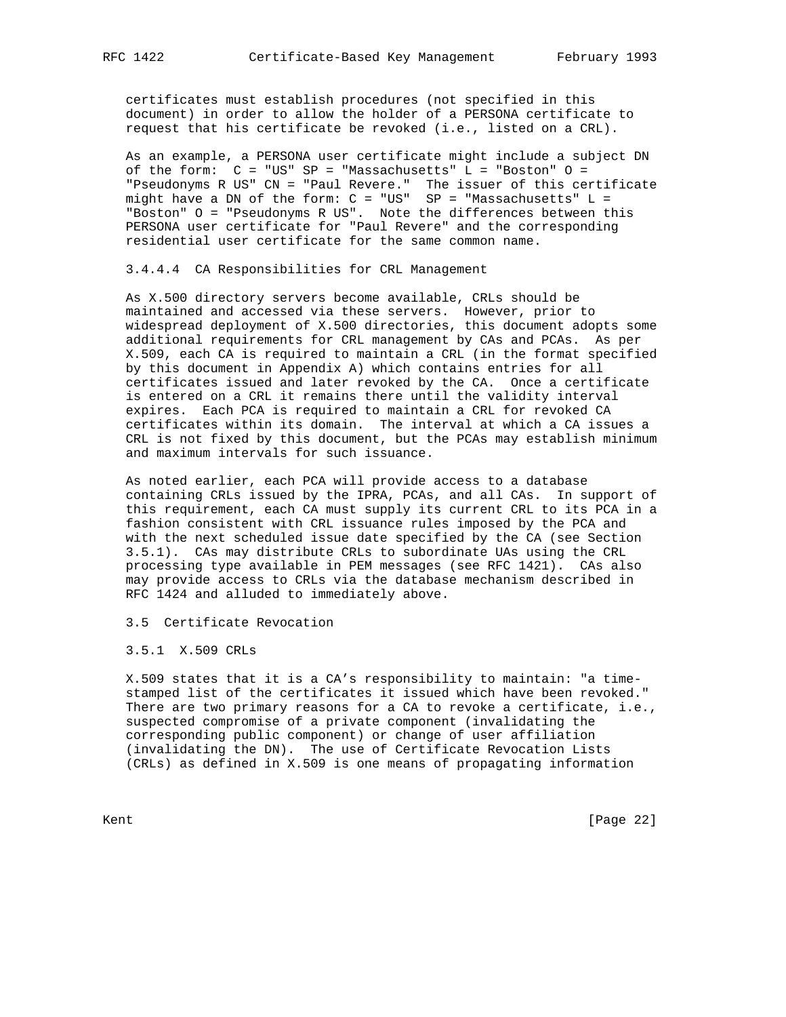certificates must establish procedures (not specified in this document) in order to allow the holder of a PERSONA certificate to request that his certificate be revoked (i.e., listed on a CRL).

 As an example, a PERSONA user certificate might include a subject DN of the form:  $C = "US" SP = "Massachusetts" L = "Boston" O =$  "Pseudonyms R US" CN = "Paul Revere." The issuer of this certificate might have a DN of the form:  $C = "US"$  SP = "Massachusetts"  $L =$  "Boston" O = "Pseudonyms R US". Note the differences between this PERSONA user certificate for "Paul Revere" and the corresponding residential user certificate for the same common name.

3.4.4.4 CA Responsibilities for CRL Management

 As X.500 directory servers become available, CRLs should be maintained and accessed via these servers. However, prior to widespread deployment of X.500 directories, this document adopts some additional requirements for CRL management by CAs and PCAs. As per X.509, each CA is required to maintain a CRL (in the format specified by this document in Appendix A) which contains entries for all certificates issued and later revoked by the CA. Once a certificate is entered on a CRL it remains there until the validity interval expires. Each PCA is required to maintain a CRL for revoked CA certificates within its domain. The interval at which a CA issues a CRL is not fixed by this document, but the PCAs may establish minimum and maximum intervals for such issuance.

 As noted earlier, each PCA will provide access to a database containing CRLs issued by the IPRA, PCAs, and all CAs. In support of this requirement, each CA must supply its current CRL to its PCA in a fashion consistent with CRL issuance rules imposed by the PCA and with the next scheduled issue date specified by the CA (see Section 3.5.1). CAs may distribute CRLs to subordinate UAs using the CRL processing type available in PEM messages (see RFC 1421). CAs also may provide access to CRLs via the database mechanism described in RFC 1424 and alluded to immediately above.

### 3.5 Certificate Revocation

#### 3.5.1 X.509 CRLs

 X.509 states that it is a CA's responsibility to maintain: "a time stamped list of the certificates it issued which have been revoked." There are two primary reasons for a CA to revoke a certificate, i.e., suspected compromise of a private component (invalidating the corresponding public component) or change of user affiliation (invalidating the DN). The use of Certificate Revocation Lists (CRLs) as defined in X.509 is one means of propagating information

Kent [Page 22]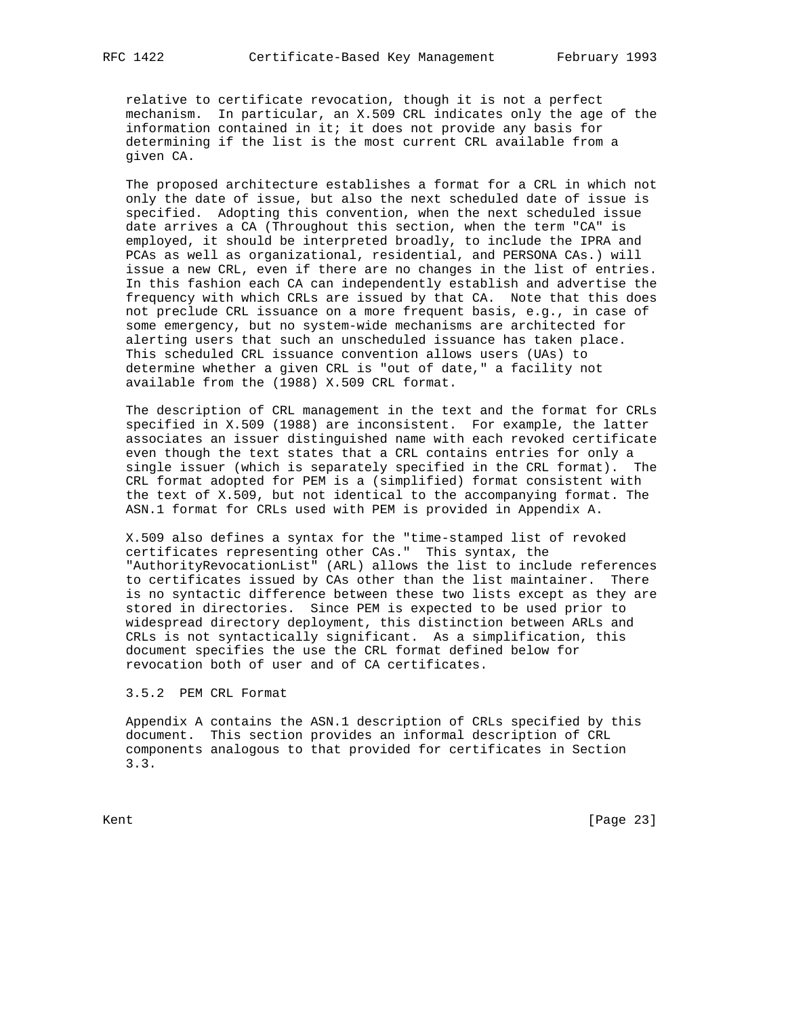relative to certificate revocation, though it is not a perfect mechanism. In particular, an X.509 CRL indicates only the age of the information contained in it; it does not provide any basis for determining if the list is the most current CRL available from a given CA.

 The proposed architecture establishes a format for a CRL in which not only the date of issue, but also the next scheduled date of issue is specified. Adopting this convention, when the next scheduled issue date arrives a CA (Throughout this section, when the term "CA" is employed, it should be interpreted broadly, to include the IPRA and PCAs as well as organizational, residential, and PERSONA CAs.) will issue a new CRL, even if there are no changes in the list of entries. In this fashion each CA can independently establish and advertise the frequency with which CRLs are issued by that CA. Note that this does not preclude CRL issuance on a more frequent basis, e.g., in case of some emergency, but no system-wide mechanisms are architected for alerting users that such an unscheduled issuance has taken place. This scheduled CRL issuance convention allows users (UAs) to determine whether a given CRL is "out of date," a facility not available from the (1988) X.509 CRL format.

 The description of CRL management in the text and the format for CRLs specified in X.509 (1988) are inconsistent. For example, the latter associates an issuer distinguished name with each revoked certificate even though the text states that a CRL contains entries for only a single issuer (which is separately specified in the CRL format). The CRL format adopted for PEM is a (simplified) format consistent with the text of X.509, but not identical to the accompanying format. The ASN.1 format for CRLs used with PEM is provided in Appendix A.

 X.509 also defines a syntax for the "time-stamped list of revoked certificates representing other CAs." This syntax, the "AuthorityRevocationList" (ARL) allows the list to include references to certificates issued by CAs other than the list maintainer. There is no syntactic difference between these two lists except as they are stored in directories. Since PEM is expected to be used prior to widespread directory deployment, this distinction between ARLs and CRLs is not syntactically significant. As a simplification, this document specifies the use the CRL format defined below for revocation both of user and of CA certificates.

# 3.5.2 PEM CRL Format

 Appendix A contains the ASN.1 description of CRLs specified by this document. This section provides an informal description of CRL components analogous to that provided for certificates in Section 3.3.

Kent [Page 23]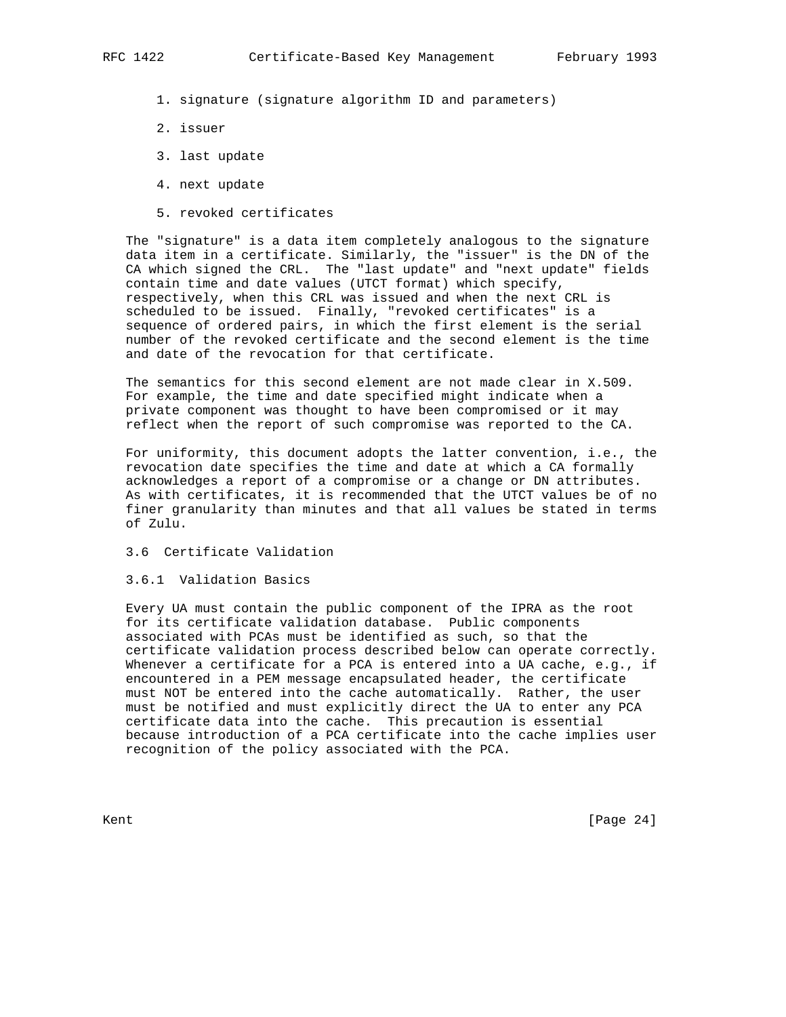- 1. signature (signature algorithm ID and parameters)
- 2. issuer
- 3. last update
- 4. next update
- 5. revoked certificates

 The "signature" is a data item completely analogous to the signature data item in a certificate. Similarly, the "issuer" is the DN of the CA which signed the CRL. The "last update" and "next update" fields contain time and date values (UTCT format) which specify, respectively, when this CRL was issued and when the next CRL is scheduled to be issued. Finally, "revoked certificates" is a sequence of ordered pairs, in which the first element is the serial number of the revoked certificate and the second element is the time and date of the revocation for that certificate.

 The semantics for this second element are not made clear in X.509. For example, the time and date specified might indicate when a private component was thought to have been compromised or it may reflect when the report of such compromise was reported to the CA.

 For uniformity, this document adopts the latter convention, i.e., the revocation date specifies the time and date at which a CA formally acknowledges a report of a compromise or a change or DN attributes. As with certificates, it is recommended that the UTCT values be of no finer granularity than minutes and that all values be stated in terms of Zulu.

3.6 Certificate Validation

# 3.6.1 Validation Basics

 Every UA must contain the public component of the IPRA as the root for its certificate validation database. Public components associated with PCAs must be identified as such, so that the certificate validation process described below can operate correctly. Whenever a certificate for a PCA is entered into a UA cache, e.g., if encountered in a PEM message encapsulated header, the certificate must NOT be entered into the cache automatically. Rather, the user must be notified and must explicitly direct the UA to enter any PCA certificate data into the cache. This precaution is essential because introduction of a PCA certificate into the cache implies user recognition of the policy associated with the PCA.

Kent [Page 24]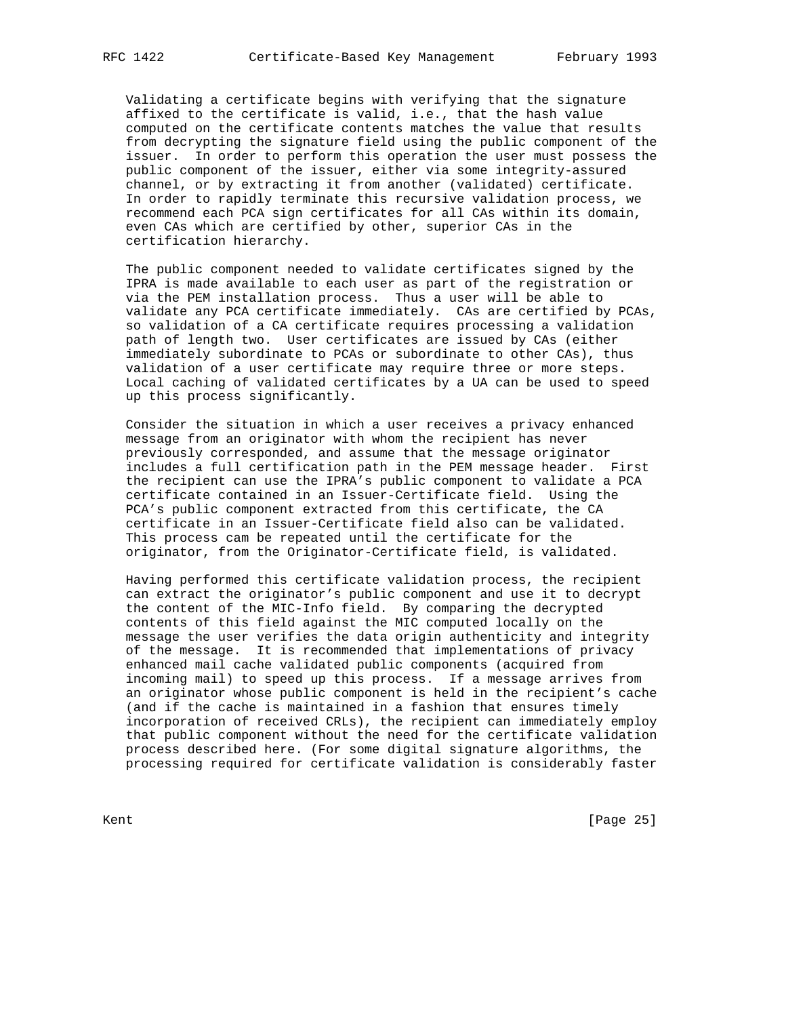Validating a certificate begins with verifying that the signature affixed to the certificate is valid, i.e., that the hash value computed on the certificate contents matches the value that results from decrypting the signature field using the public component of the issuer. In order to perform this operation the user must possess the public component of the issuer, either via some integrity-assured channel, or by extracting it from another (validated) certificate. In order to rapidly terminate this recursive validation process, we recommend each PCA sign certificates for all CAs within its domain, even CAs which are certified by other, superior CAs in the certification hierarchy.

 The public component needed to validate certificates signed by the IPRA is made available to each user as part of the registration or via the PEM installation process. Thus a user will be able to validate any PCA certificate immediately. CAs are certified by PCAs, so validation of a CA certificate requires processing a validation path of length two. User certificates are issued by CAs (either immediately subordinate to PCAs or subordinate to other CAs), thus validation of a user certificate may require three or more steps. Local caching of validated certificates by a UA can be used to speed up this process significantly.

 Consider the situation in which a user receives a privacy enhanced message from an originator with whom the recipient has never previously corresponded, and assume that the message originator includes a full certification path in the PEM message header. First the recipient can use the IPRA's public component to validate a PCA certificate contained in an Issuer-Certificate field. Using the PCA's public component extracted from this certificate, the CA certificate in an Issuer-Certificate field also can be validated. This process cam be repeated until the certificate for the originator, from the Originator-Certificate field, is validated.

 Having performed this certificate validation process, the recipient can extract the originator's public component and use it to decrypt the content of the MIC-Info field. By comparing the decrypted contents of this field against the MIC computed locally on the message the user verifies the data origin authenticity and integrity of the message. It is recommended that implementations of privacy enhanced mail cache validated public components (acquired from incoming mail) to speed up this process. If a message arrives from an originator whose public component is held in the recipient's cache (and if the cache is maintained in a fashion that ensures timely incorporation of received CRLs), the recipient can immediately employ that public component without the need for the certificate validation process described here. (For some digital signature algorithms, the processing required for certificate validation is considerably faster

Kent [Page 25]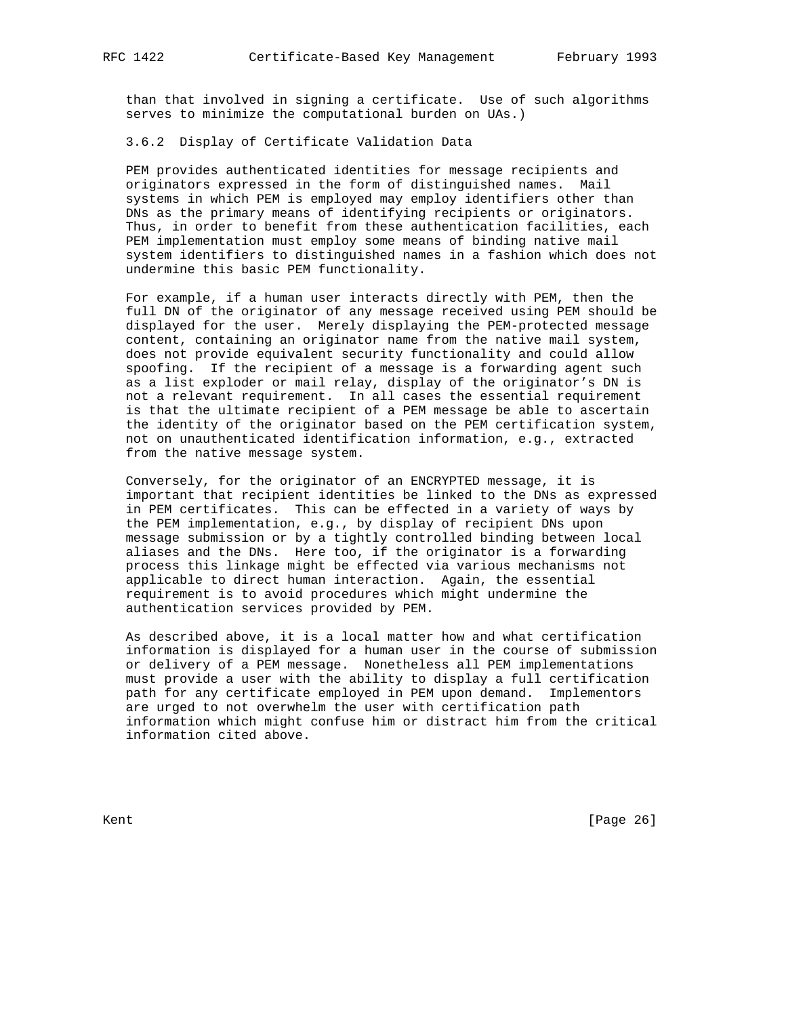than that involved in signing a certificate. Use of such algorithms serves to minimize the computational burden on UAs.)

# 3.6.2 Display of Certificate Validation Data

 PEM provides authenticated identities for message recipients and originators expressed in the form of distinguished names. Mail systems in which PEM is employed may employ identifiers other than DNs as the primary means of identifying recipients or originators. Thus, in order to benefit from these authentication facilities, each PEM implementation must employ some means of binding native mail system identifiers to distinguished names in a fashion which does not undermine this basic PEM functionality.

 For example, if a human user interacts directly with PEM, then the full DN of the originator of any message received using PEM should be displayed for the user. Merely displaying the PEM-protected message content, containing an originator name from the native mail system, does not provide equivalent security functionality and could allow spoofing. If the recipient of a message is a forwarding agent such as a list exploder or mail relay, display of the originator's DN is not a relevant requirement. In all cases the essential requirement is that the ultimate recipient of a PEM message be able to ascertain the identity of the originator based on the PEM certification system, not on unauthenticated identification information, e.g., extracted from the native message system.

 Conversely, for the originator of an ENCRYPTED message, it is important that recipient identities be linked to the DNs as expressed in PEM certificates. This can be effected in a variety of ways by the PEM implementation, e.g., by display of recipient DNs upon message submission or by a tightly controlled binding between local aliases and the DNs. Here too, if the originator is a forwarding process this linkage might be effected via various mechanisms not applicable to direct human interaction. Again, the essential requirement is to avoid procedures which might undermine the authentication services provided by PEM.

 As described above, it is a local matter how and what certification information is displayed for a human user in the course of submission or delivery of a PEM message. Nonetheless all PEM implementations must provide a user with the ability to display a full certification path for any certificate employed in PEM upon demand. Implementors are urged to not overwhelm the user with certification path information which might confuse him or distract him from the critical information cited above.

Kent [Page 26]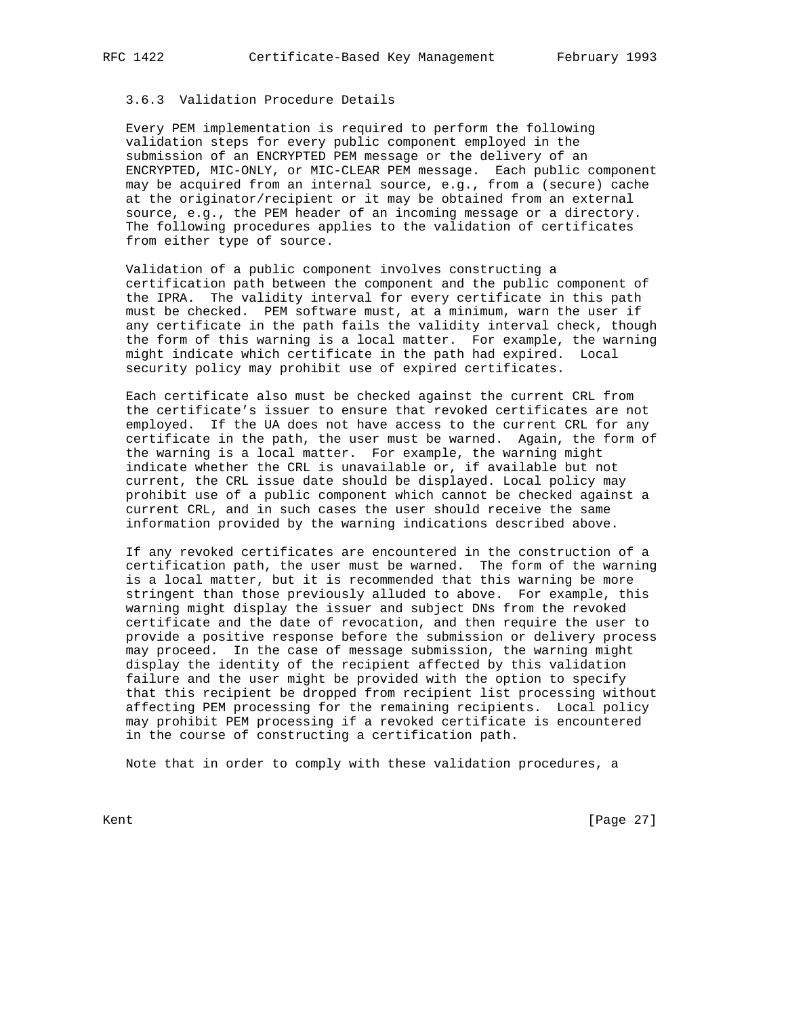# 3.6.3 Validation Procedure Details

 Every PEM implementation is required to perform the following validation steps for every public component employed in the submission of an ENCRYPTED PEM message or the delivery of an ENCRYPTED, MIC-ONLY, or MIC-CLEAR PEM message. Each public component may be acquired from an internal source, e.g., from a (secure) cache at the originator/recipient or it may be obtained from an external source, e.g., the PEM header of an incoming message or a directory. The following procedures applies to the validation of certificates from either type of source.

 Validation of a public component involves constructing a certification path between the component and the public component of the IPRA. The validity interval for every certificate in this path must be checked. PEM software must, at a minimum, warn the user if any certificate in the path fails the validity interval check, though the form of this warning is a local matter. For example, the warning might indicate which certificate in the path had expired. Local security policy may prohibit use of expired certificates.

 Each certificate also must be checked against the current CRL from the certificate's issuer to ensure that revoked certificates are not employed. If the UA does not have access to the current CRL for any certificate in the path, the user must be warned. Again, the form of the warning is a local matter. For example, the warning might indicate whether the CRL is unavailable or, if available but not current, the CRL issue date should be displayed. Local policy may prohibit use of a public component which cannot be checked against a current CRL, and in such cases the user should receive the same information provided by the warning indications described above.

 If any revoked certificates are encountered in the construction of a certification path, the user must be warned. The form of the warning is a local matter, but it is recommended that this warning be more stringent than those previously alluded to above. For example, this warning might display the issuer and subject DNs from the revoked certificate and the date of revocation, and then require the user to provide a positive response before the submission or delivery process may proceed. In the case of message submission, the warning might display the identity of the recipient affected by this validation failure and the user might be provided with the option to specify that this recipient be dropped from recipient list processing without affecting PEM processing for the remaining recipients. Local policy may prohibit PEM processing if a revoked certificate is encountered in the course of constructing a certification path.

Note that in order to comply with these validation procedures, a

Kent [Page 27]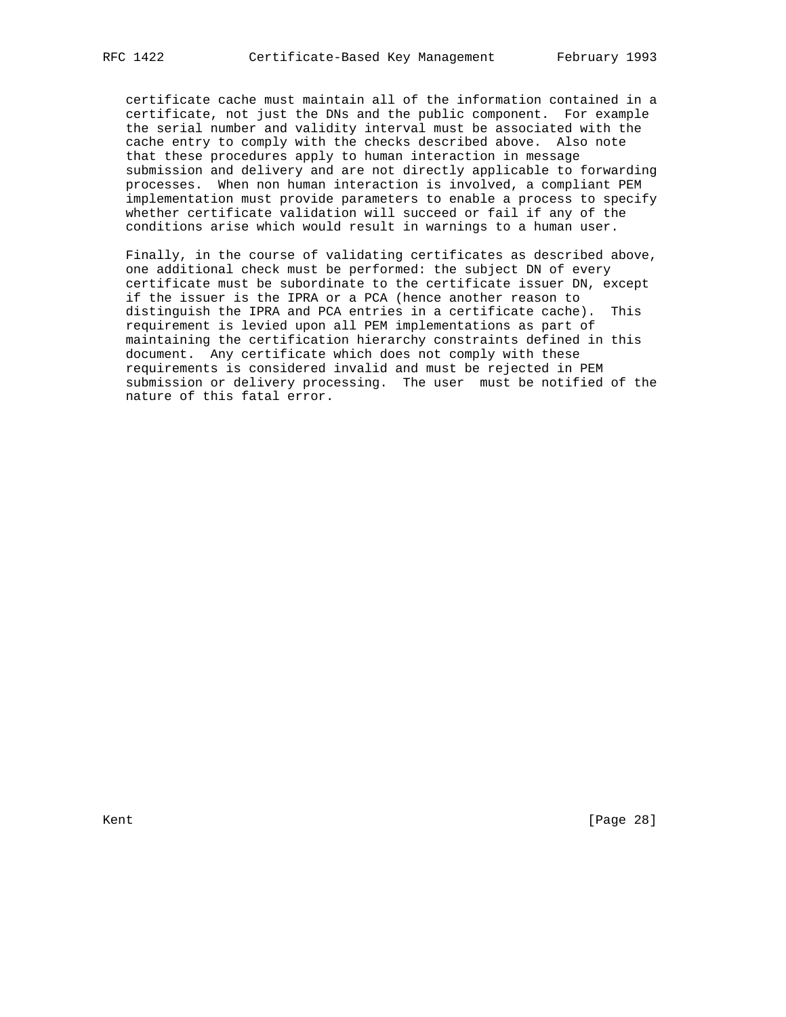certificate cache must maintain all of the information contained in a certificate, not just the DNs and the public component. For example the serial number and validity interval must be associated with the cache entry to comply with the checks described above. Also note that these procedures apply to human interaction in message submission and delivery and are not directly applicable to forwarding processes. When non human interaction is involved, a compliant PEM implementation must provide parameters to enable a process to specify whether certificate validation will succeed or fail if any of the conditions arise which would result in warnings to a human user.

 Finally, in the course of validating certificates as described above, one additional check must be performed: the subject DN of every certificate must be subordinate to the certificate issuer DN, except if the issuer is the IPRA or a PCA (hence another reason to distinguish the IPRA and PCA entries in a certificate cache). This requirement is levied upon all PEM implementations as part of maintaining the certification hierarchy constraints defined in this document. Any certificate which does not comply with these requirements is considered invalid and must be rejected in PEM submission or delivery processing. The user must be notified of the nature of this fatal error.

Kent [Page 28]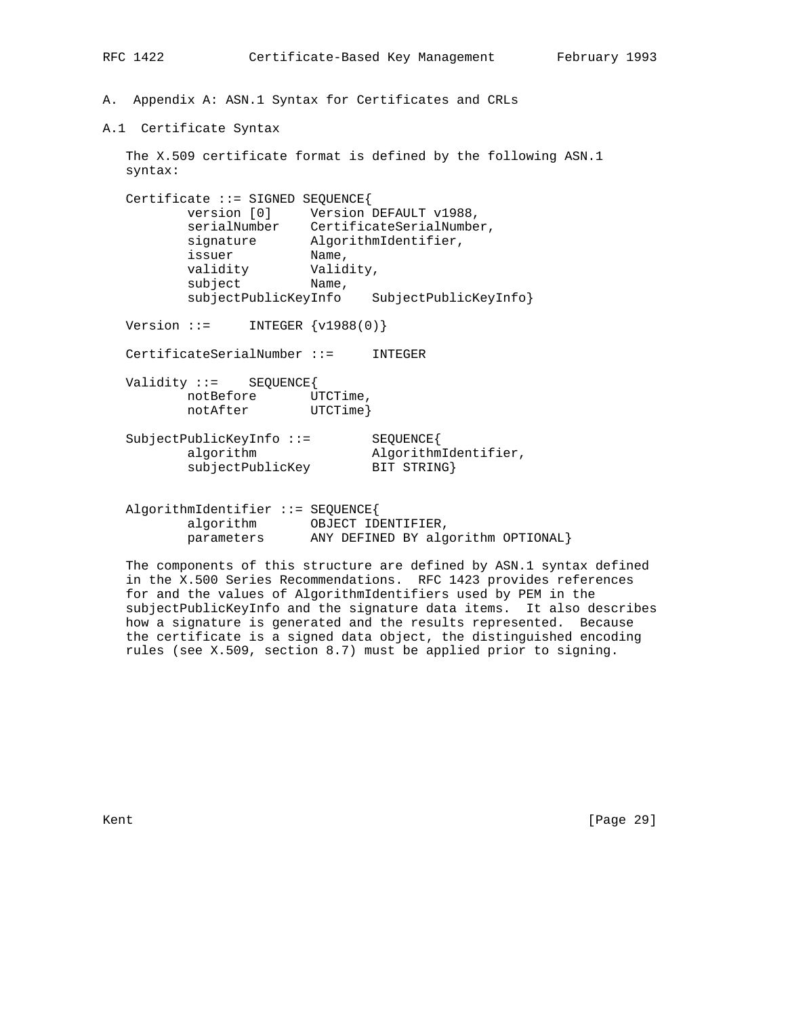A. Appendix A: ASN.1 Syntax for Certificates and CRLs

A.1 Certificate Syntax

 The X.509 certificate format is defined by the following ASN.1 syntax:

 Certificate ::= SIGNED SEQUENCE{ version [0] Version DEFAULT v1988, serialNumber CertificateSerialNumber, signature AlgorithmIdentifier, issuer Name, validity Validity, subject Name, subjectPublicKeyInfo SubjectPublicKeyInfo}

Version  $::=$  INTEGER  $\{v1988(0)\}\$ 

CertificateSerialNumber ::= INTEGER

Validity ::= SEQUENCE{ notBefore UTCTime, notAfter UTCTime

| $SubjectPublicKeyInfo ::=$ | SEQUENCE{            |
|----------------------------|----------------------|
| alqorithm                  | AlgorithmIdentifier, |
| subjectPublicKey           | BIT STRING}          |

| $\texttt{AlgorithmIdentifier} ::= \texttt{SEQUENCE}$ |                                    |
|------------------------------------------------------|------------------------------------|
| algorithm                                            | OBJECT IDENTIFIER,                 |
| parameters                                           | ANY DEFINED BY algorithm OPTIONAL} |

 The components of this structure are defined by ASN.1 syntax defined in the X.500 Series Recommendations. RFC 1423 provides references for and the values of AlgorithmIdentifiers used by PEM in the subjectPublicKeyInfo and the signature data items. It also describes how a signature is generated and the results represented. Because the certificate is a signed data object, the distinguished encoding rules (see X.509, section 8.7) must be applied prior to signing.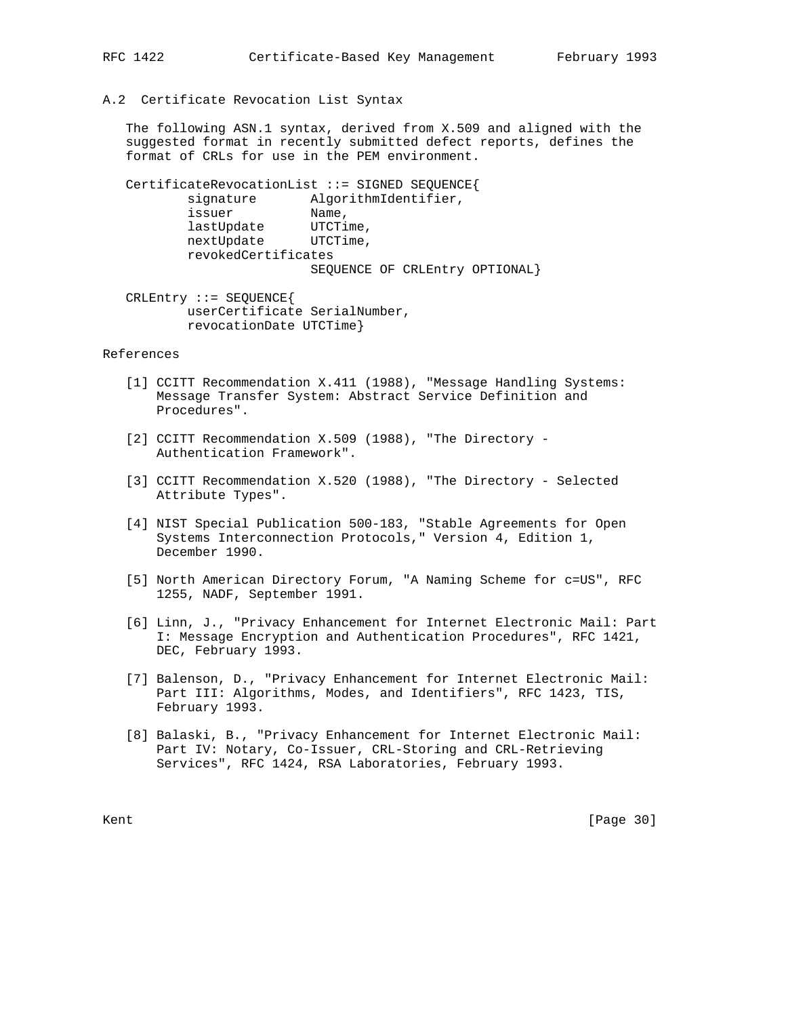# A.2 Certificate Revocation List Syntax

 The following ASN.1 syntax, derived from X.509 and aligned with the suggested format in recently submitted defect reports, defines the format of CRLs for use in the PEM environment.

 CertificateRevocationList ::= SIGNED SEQUENCE{ signature AlgorithmIdentifier, issuer Name, lastUpdate UTCTime, nextUpdate UTCTime, revokedCertificates SEQUENCE OF CRLEntry OPTIONAL}

 CRLEntry ::= SEQUENCE{ userCertificate SerialNumber, revocationDate UTCTime}

References

- [1] CCITT Recommendation X.411 (1988), "Message Handling Systems: Message Transfer System: Abstract Service Definition and Procedures".
- [2] CCITT Recommendation X.509 (1988), "The Directory -Authentication Framework".
- [3] CCITT Recommendation X.520 (1988), "The Directory Selected Attribute Types".
- [4] NIST Special Publication 500-183, "Stable Agreements for Open Systems Interconnection Protocols," Version 4, Edition 1, December 1990.
- [5] North American Directory Forum, "A Naming Scheme for c=US", RFC 1255, NADF, September 1991.
- [6] Linn, J., "Privacy Enhancement for Internet Electronic Mail: Part I: Message Encryption and Authentication Procedures", RFC 1421, DEC, February 1993.
- [7] Balenson, D., "Privacy Enhancement for Internet Electronic Mail: Part III: Algorithms, Modes, and Identifiers", RFC 1423, TIS, February 1993.
- [8] Balaski, B., "Privacy Enhancement for Internet Electronic Mail: Part IV: Notary, Co-Issuer, CRL-Storing and CRL-Retrieving Services", RFC 1424, RSA Laboratories, February 1993.

Kent [Page 30]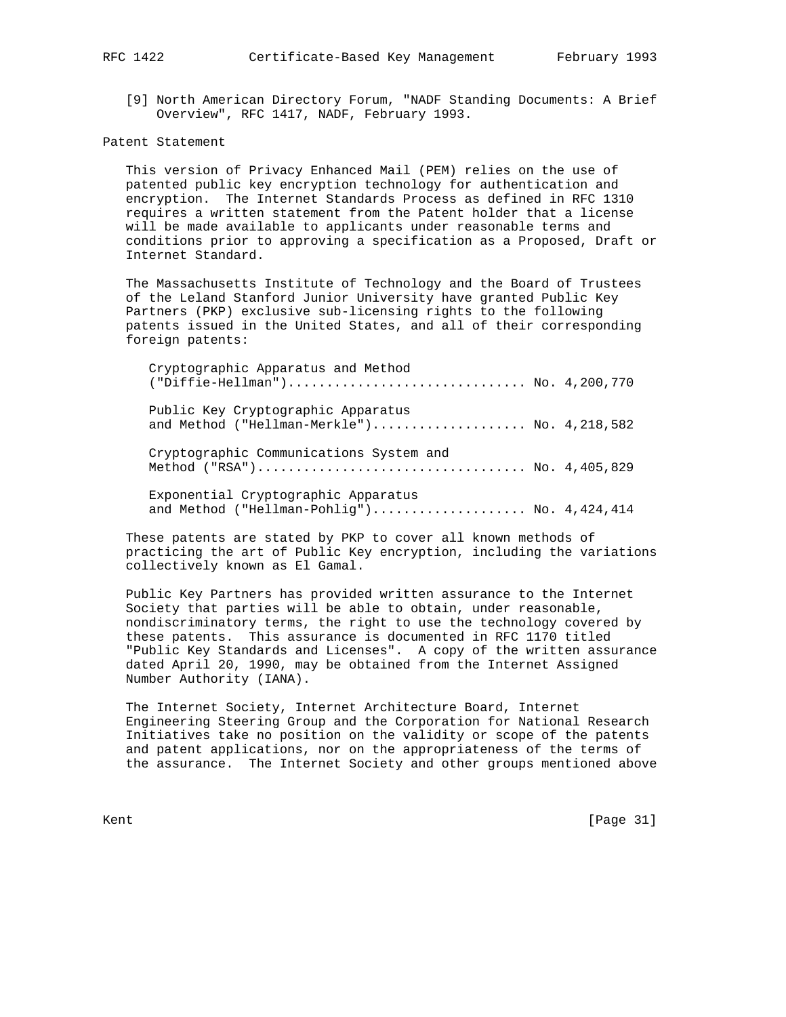[9] North American Directory Forum, "NADF Standing Documents: A Brief Overview", RFC 1417, NADF, February 1993.

# Patent Statement

 This version of Privacy Enhanced Mail (PEM) relies on the use of patented public key encryption technology for authentication and encryption. The Internet Standards Process as defined in RFC 1310 requires a written statement from the Patent holder that a license will be made available to applicants under reasonable terms and conditions prior to approving a specification as a Proposed, Draft or Internet Standard.

 The Massachusetts Institute of Technology and the Board of Trustees of the Leland Stanford Junior University have granted Public Key Partners (PKP) exclusive sub-licensing rights to the following patents issued in the United States, and all of their corresponding foreign patents:

| Cryptographic Apparatus and Method<br>("Diffie-Hellman") No. 4,200,770               |  |
|--------------------------------------------------------------------------------------|--|
| Public Key Cryptographic Apparatus<br>and Method ("Hellman-Merkle") No. $4,218,582$  |  |
| Cryptographic Communications System and                                              |  |
| Exponential Cryptographic Apparatus<br>and Method ("Hellman-Pohliq") No. $4,424,414$ |  |

 These patents are stated by PKP to cover all known methods of practicing the art of Public Key encryption, including the variations collectively known as El Gamal.

 Public Key Partners has provided written assurance to the Internet Society that parties will be able to obtain, under reasonable, nondiscriminatory terms, the right to use the technology covered by these patents. This assurance is documented in RFC 1170 titled "Public Key Standards and Licenses". A copy of the written assurance dated April 20, 1990, may be obtained from the Internet Assigned Number Authority (IANA).

 The Internet Society, Internet Architecture Board, Internet Engineering Steering Group and the Corporation for National Research Initiatives take no position on the validity or scope of the patents and patent applications, nor on the appropriateness of the terms of the assurance. The Internet Society and other groups mentioned above

Kent [Page 31]